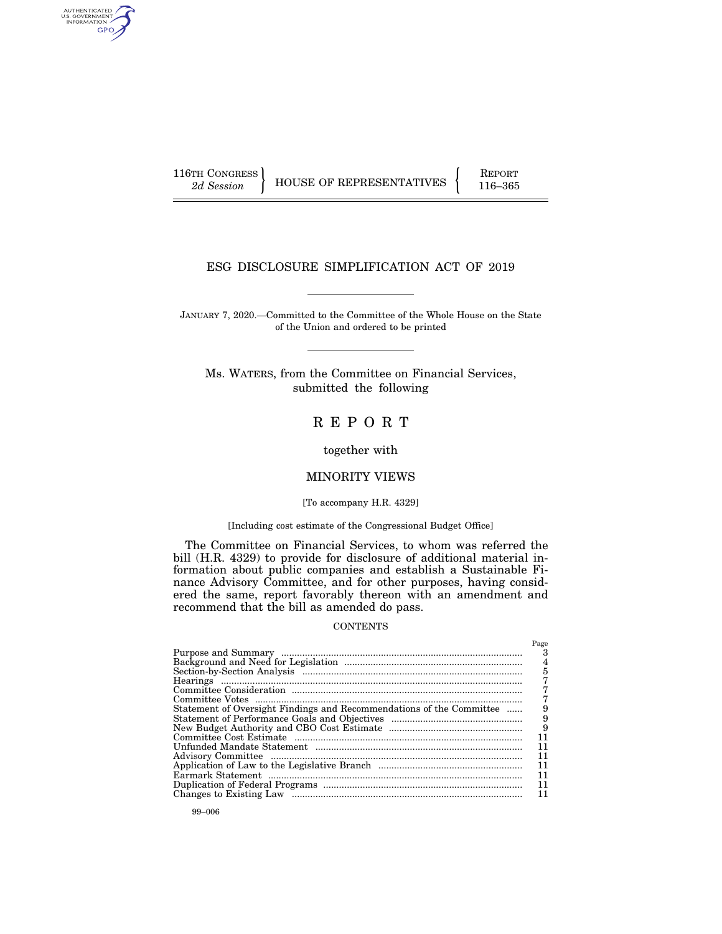AUTHENTICATED<br>U.S. GOVERNMENT<br>INFORMATION GPO

116TH CONGRESS HOUSE OF REPRESENTATIVES FEPORT 116–365

# ESG DISCLOSURE SIMPLIFICATION ACT OF 2019

JANUARY 7, 2020.—Committed to the Committee of the Whole House on the State of the Union and ordered to be printed

Ms. WATERS, from the Committee on Financial Services, submitted the following

# R E P O R T

together with

# MINORITY VIEWS

#### [To accompany H.R. 4329]

### [Including cost estimate of the Congressional Budget Office]

The Committee on Financial Services, to whom was referred the bill (H.R. 4329) to provide for disclosure of additional material information about public companies and establish a Sustainable Finance Advisory Committee, and for other purposes, having considered the same, report favorably thereon with an amendment and recommend that the bill as amended do pass.

### **CONTENTS**

|                                                                      | Page |
|----------------------------------------------------------------------|------|
|                                                                      |      |
|                                                                      | 4    |
|                                                                      | 5    |
|                                                                      |      |
|                                                                      |      |
|                                                                      |      |
| Statement of Oversight Findings and Recommendations of the Committee | 9    |
|                                                                      | 9    |
|                                                                      | 9    |
|                                                                      | 11   |
|                                                                      | 11   |
|                                                                      | 11   |
|                                                                      | 11   |
|                                                                      | 11   |
|                                                                      | 11   |
|                                                                      | 11   |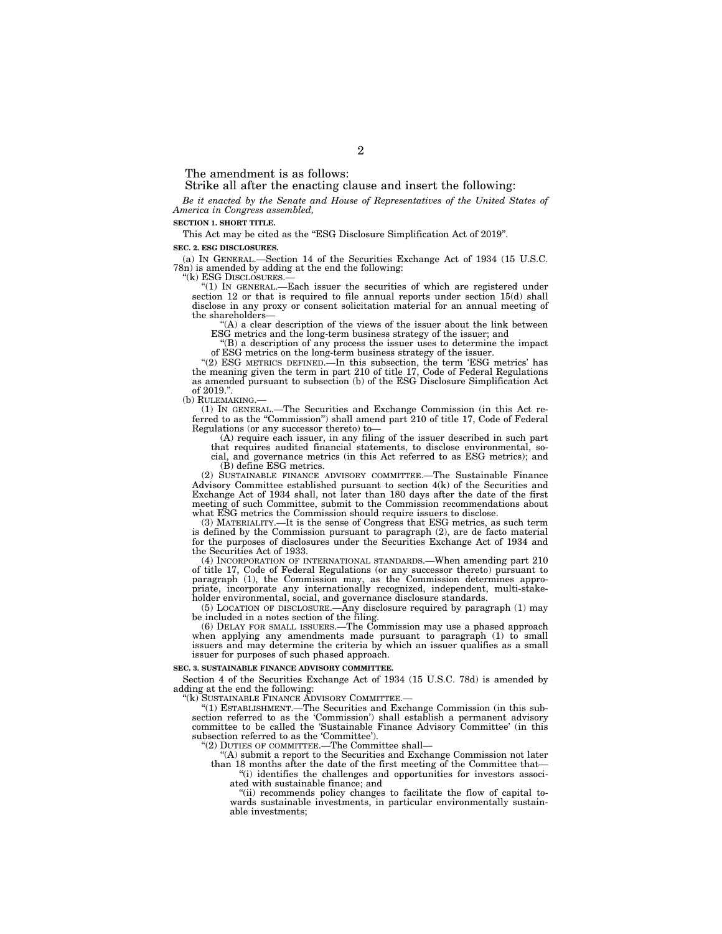The amendment is as follows:

Strike all after the enacting clause and insert the following:

*Be it enacted by the Senate and House of Representatives of the United States of America in Congress assembled,* 

#### **SECTION 1. SHORT TITLE.**

This Act may be cited as the "ESG Disclosure Simplification Act of 2019".

**SEC. 2. ESG DISCLOSURES.** 

(a) IN GENERAL.—Section 14 of the Securities Exchange Act of 1934 (15 U.S.C. 78n) is amended by adding at the end the following:

" $(1)$  IN GENERAL.—Each issuer the securities of which are registered under section 12 or that is required to file annual reports under section 15(d) shall disclose in any proxy or consent solicitation material for an annual meeting of the shareholders-

''(A) a clear description of the views of the issuer about the link between ESG metrics and the long-term business strategy of the issuer; and

''(B) a description of any process the issuer uses to determine the impact of ESG metrics on the long-term business strategy of the issuer.

''(2) ESG METRICS DEFINED.—In this subsection, the term 'ESG metrics' has the meaning given the term in part 210 of title 17, Code of Federal Regulations as amended pursuant to subsection (b) of the ESG Disclosure Simplification Act of 2019.''.

(b) RULEMAKING.—<br>(1) IN GENERAL. -The Securities and Exchange Commission (in this Act referred to as the ''Commission'') shall amend part 210 of title 17, Code of Federal Regulations (or any successor thereto) to—

(A) require each issuer, in any filing of the issuer described in such part that requires audited financial statements, to disclose environmental, social, and governance metrics (in this Act referred to as ESG metrics); and (B) define ESG metrics.

(2) SUSTAINABLE FINANCE ADVISORY COMMITTEE.—The Sustainable Finance Advisory Committee established pursuant to section 4(k) of the Securities and Exchange Act of 1934 shall, not later than 180 days after the date of the first meeting of such Committee, submit to the Commission recommendations about what ESG metrics the Commission should require issuers to disclose.

(3) MATERIALITY.—It is the sense of Congress that ESG metrics, as such term is defined by the Commission pursuant to paragraph (2), are de facto material for the purposes of disclosures under the Securities Exchange Act of 1934 and the Securities Act of 1933.

(4) INCORPORATION OF INTERNATIONAL STANDARDS.—When amending part 210 of title 17, Code of Federal Regulations (or any successor thereto) pursuant to paragraph (1), the Commission may, as the Commission determines appropriate, incorporate any internationally recognized, independent, multi-stakeholder environmental, social, and governance disclosure standards.

(5) LOCATION OF DISCLOSURE.—Any disclosure required by paragraph (1) may be included in a notes section of the filing.

(6) DELAY FOR SMALL ISSUERS.—The Commission may use a phased approach when applying any amendments made pursuant to paragraph (1) to small issuers and may determine the criteria by which an issuer qualifies as a small issuer for purposes of such phased approach.

#### **SEC. 3. SUSTAINABLE FINANCE ADVISORY COMMITTEE.**

Section 4 of the Securities Exchange Act of 1934 (15 U.S.C. 78d) is amended by adding at the end the following:

''(k) SUSTAINABLE FINANCE ADVISORY COMMITTEE.—

''(1) ESTABLISHMENT.—The Securities and Exchange Commission (in this subsection referred to as the 'Commission') shall establish a permanent advisory committee to be called the 'Sustainable Finance Advisory Committee' (in this subsection referred to as the 'Committee').

''(2) DUTIES OF COMMITTEE.—The Committee shall—

''(A) submit a report to the Securities and Exchange Commission not later

than 18 months after the date of the first meeting of the Committee that— ''(i) identifies the challenges and opportunities for investors associated with sustainable finance; and

"(ii) recommends policy changes to facilitate the flow of capital towards sustainable investments, in particular environmentally sustainable investments;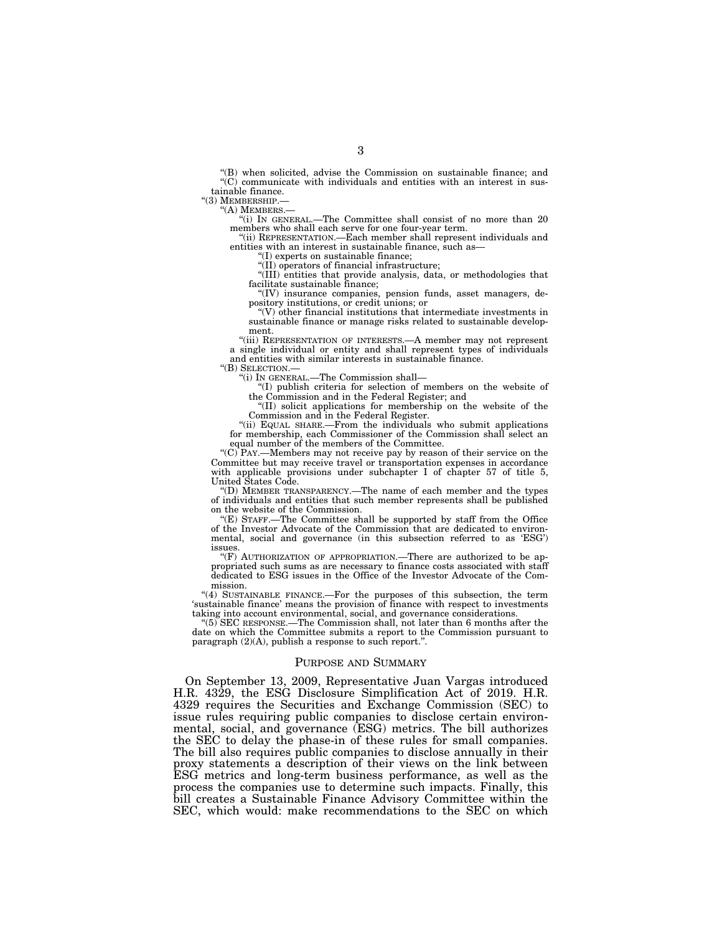''(B) when solicited, advise the Commission on sustainable finance; and  $\mathcal{C}(C)$  communicate with individuals and entities with an interest in sustainable finance.<br>"(3) MEMBERSHIP.

"(A) MEMBERS.—<br>"(i) IN GENERAL.—The Committee shall consist of no more than 20 members who shall each serve for one four-year term.

''(ii) REPRESENTATION.—Each member shall represent individuals and entities with an interest in sustainable finance, such as

''(I) experts on sustainable finance;

''(II) operators of financial infrastructure;

''(III) entities that provide analysis, data, or methodologies that facilitate sustainable finance;

''(IV) insurance companies, pension funds, asset managers, de-pository institutions, or credit unions; or

''(V) other financial institutions that intermediate investments in sustainable finance or manage risks related to sustainable development.

''(iii) REPRESENTATION OF INTERESTS.—A member may not represent a single individual or entity and shall represent types of individuals and entities with similar interests in sustainable finance.

''(B) SELECTION.—

''(i) IN GENERAL.—The Commission shall—

''(I) publish criteria for selection of members on the website of the Commission and in the Federal Register; and

''(II) solicit applications for membership on the website of the Commission and in the Federal Register.

''(ii) EQUAL SHARE.—From the individuals who submit applications for membership, each Commissioner of the Commission shall select an equal number of the members of the Committee.

"(C) PAY.—Members may not receive pay by reason of their service on the Committee but may receive travel or transportation expenses in accordance with applicable provisions under subchapter I of chapter 57 of title 5, United States Code.

''(D) MEMBER TRANSPARENCY.—The name of each member and the types of individuals and entities that such member represents shall be published on the website of the Commission.

''(E) STAFF.—The Committee shall be supported by staff from the Office of the Investor Advocate of the Commission that are dedicated to environmental, social and governance (in this subsection referred to as 'ESG') issues.

''(F) AUTHORIZATION OF APPROPRIATION.—There are authorized to be appropriated such sums as are necessary to finance costs associated with staff dedicated to ESG issues in the Office of the Investor Advocate of the Commission.

 $''(4)$  SUSTAINABLE FINANCE.—For the purposes of this subsection, the term 'sustainable finance' means the provision of finance with respect to investments taking into account environmental, social, and governance considerations.

''(5) SEC RESPONSE.—The Commission shall, not later than 6 months after the date on which the Committee submits a report to the Commission pursuant to paragraph  $(2)(A)$ , publish a response to such report.".

#### PURPOSE AND SUMMARY

On September 13, 2009, Representative Juan Vargas introduced H.R. 4329, the ESG Disclosure Simplification Act of 2019. H.R. 4329 requires the Securities and Exchange Commission (SEC) to issue rules requiring public companies to disclose certain environmental, social, and governance (ESG) metrics. The bill authorizes the SEC to delay the phase-in of these rules for small companies. The bill also requires public companies to disclose annually in their proxy statements a description of their views on the link between ESG metrics and long-term business performance, as well as the process the companies use to determine such impacts. Finally, this bill creates a Sustainable Finance Advisory Committee within the SEC, which would: make recommendations to the SEC on which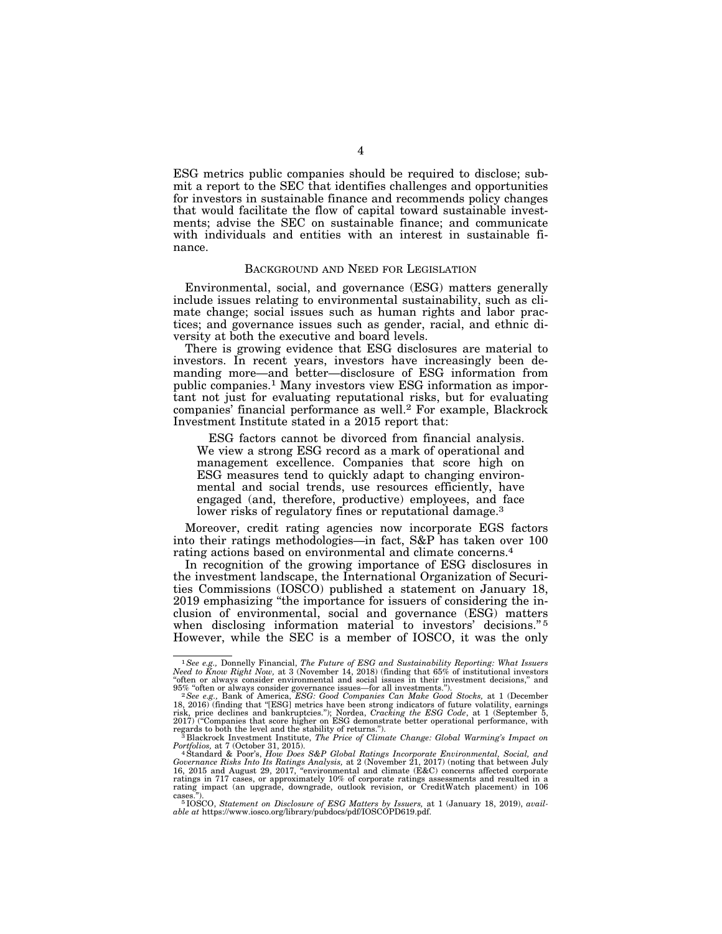ESG metrics public companies should be required to disclose; submit a report to the SEC that identifies challenges and opportunities for investors in sustainable finance and recommends policy changes that would facilitate the flow of capital toward sustainable investments; advise the SEC on sustainable finance; and communicate with individuals and entities with an interest in sustainable finance.

#### BACKGROUND AND NEED FOR LEGISLATION

Environmental, social, and governance (ESG) matters generally include issues relating to environmental sustainability, such as climate change; social issues such as human rights and labor practices; and governance issues such as gender, racial, and ethnic diversity at both the executive and board levels.

There is growing evidence that ESG disclosures are material to investors. In recent years, investors have increasingly been demanding more—and better—disclosure of ESG information from public companies.1 Many investors view ESG information as important not just for evaluating reputational risks, but for evaluating companies' financial performance as well.2 For example, Blackrock Investment Institute stated in a 2015 report that:

ESG factors cannot be divorced from financial analysis. We view a strong ESG record as a mark of operational and management excellence. Companies that score high on ESG measures tend to quickly adapt to changing environmental and social trends, use resources efficiently, have engaged (and, therefore, productive) employees, and face lower risks of regulatory fines or reputational damage.3

Moreover, credit rating agencies now incorporate EGS factors into their ratings methodologies—in fact, S&P has taken over 100 rating actions based on environmental and climate concerns.4

In recognition of the growing importance of ESG disclosures in the investment landscape, the International Organization of Securities Commissions (IOSCO) published a statement on January 18, 2019 emphasizing ''the importance for issuers of considering the inclusion of environmental, social and governance (ESG) matters when disclosing information material to investors' decisions."<sup>5</sup> However, while the SEC is a member of IOSCO, it was the only

<sup>1</sup>*See e.g.,* Donnelly Financial, *The Future of ESG and Sustainability Reporting: What Issuers Need to Know Right Now,* at 3 (November 14, 2018) (finding that 65% of institutional investors "often or always consider environmental and social issues in their investment decisions," and 95% "often or always consider governance issues—for all investments.").

<sup>95% &</sup>quot;often or always consider governance issues—for all investments.").<br><sup>2</sup> See e.g., Bank of America, ESG: Good Companies Can Make Good Stocks, at 1 (December<br>18, 2016) (finding that "[ESG] metrics have been strong indic 2017) (''Companies that score higher on ESG demonstrate better operational performance, with regards to both the level and the stability of returns.''). 3 Blackrock Investment Institute, *The Price of Climate Change: Global Warming's Impact on* 

Portfolios, at 7 (October 31, 2015).<br>
<sup>4</sup> Standard & Poor's, *How Does S&P Global Ratings Incorporate Environmental, Social, and<br>*  $Govername{R}$  *Social,*  $G$  *How Does S&P Global Ratings Incorporate Environmental, Social, and<br> Gover* 

cases.''). 5 IOSCO, *Statement on Disclosure of ESG Matters by Issuers,* at 1 (January 18, 2019), *avail-able at* https://www.iosco.org/library/pubdocs/pdf/IOSCOPD619.pdf.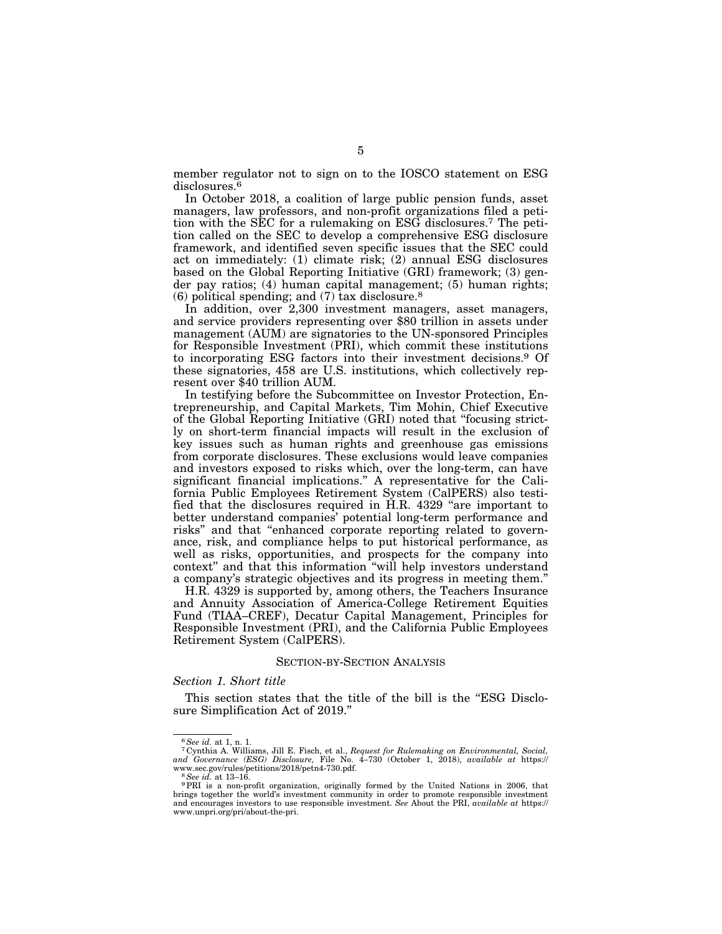member regulator not to sign on to the IOSCO statement on ESG disclosures.<sup>6</sup>

In October 2018, a coalition of large public pension funds, asset managers, law professors, and non-profit organizations filed a petition with the SEC for a rulemaking on ESG disclosures.7 The petition called on the SEC to develop a comprehensive ESG disclosure framework, and identified seven specific issues that the SEC could act on immediately: (1) climate risk; (2) annual ESG disclosures based on the Global Reporting Initiative (GRI) framework; (3) gender pay ratios; (4) human capital management; (5) human rights;  $(6)$  political spending; and  $(7)$  tax disclosure.<sup>8</sup>

In addition, over 2,300 investment managers, asset managers, and service providers representing over \$80 trillion in assets under management (AUM) are signatories to the UN-sponsored Principles for Responsible Investment (PRI), which commit these institutions to incorporating ESG factors into their investment decisions.9 Of these signatories, 458 are U.S. institutions, which collectively represent over \$40 trillion AUM.

In testifying before the Subcommittee on Investor Protection, Entrepreneurship, and Capital Markets, Tim Mohin, Chief Executive of the Global Reporting Initiative (GRI) noted that ''focusing strictly on short-term financial impacts will result in the exclusion of key issues such as human rights and greenhouse gas emissions from corporate disclosures. These exclusions would leave companies and investors exposed to risks which, over the long-term, can have significant financial implications.'' A representative for the California Public Employees Retirement System (CalPERS) also testified that the disclosures required in H.R. 4329 "are important to better understand companies' potential long-term performance and risks'' and that ''enhanced corporate reporting related to governance, risk, and compliance helps to put historical performance, as well as risks, opportunities, and prospects for the company into context'' and that this information ''will help investors understand a company's strategic objectives and its progress in meeting them.''

H.R. 4329 is supported by, among others, the Teachers Insurance and Annuity Association of America-College Retirement Equities Fund (TIAA–CREF), Decatur Capital Management, Principles for Responsible Investment (PRI), and the California Public Employees Retirement System (CalPERS).

### SECTION-BY-SECTION ANALYSIS

### *Section 1. Short title*

This section states that the title of the bill is the "ESG Disclosure Simplification Act of 2019.''

<sup>&</sup>lt;sup>6</sup> See id. at 1, n. 1.<br><sup>7</sup> Cynthia A. Williams, Jill E. Fisch, et al., *Request for Rulemaking on Environmental*, *Social*, *and Governance (ESG) Disclosure*, File No. 4–730 (October 1, 2018), *available at https:*//

www.sec.gov/rules/petitions/2018/petn4-730.pdf.<br><sup>8</sup>See *id.* at 13–16.<br>PRI is a non-profit organization, originally formed by the United Nations in 2006, that<br>brings together the world's investment community in order to pr and encourages investors to use responsible investment. *See* About the PRI, *available at* https:// www.unpri.org/pri/about-the-pri.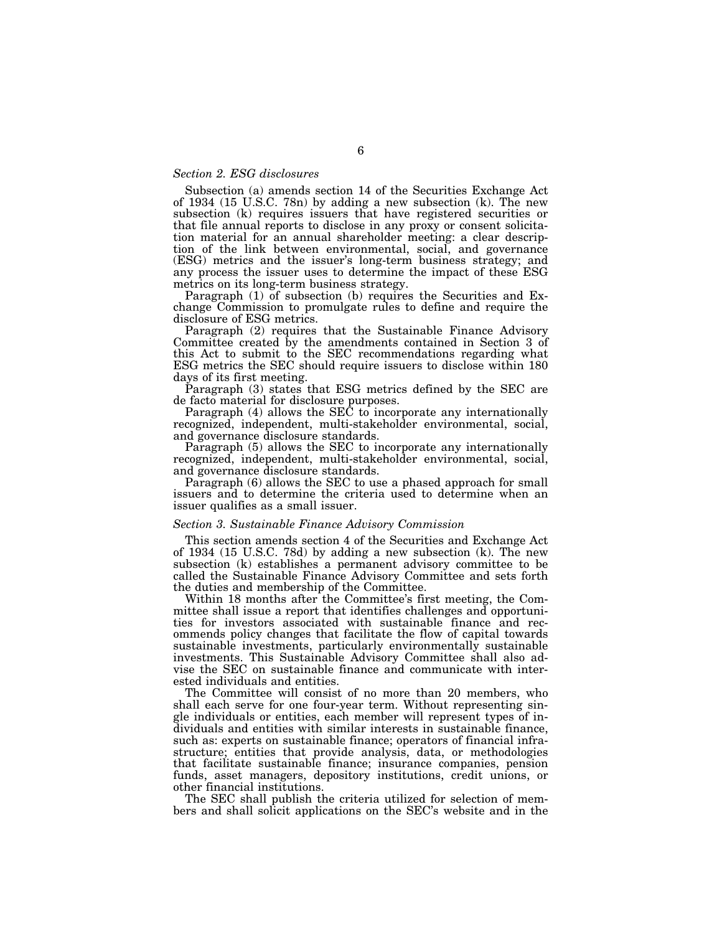### *Section 2. ESG disclosures*

Subsection (a) amends section 14 of the Securities Exchange Act of 1934 (15 U.S.C. 78n) by adding a new subsection (k). The new subsection (k) requires issuers that have registered securities or that file annual reports to disclose in any proxy or consent solicitation material for an annual shareholder meeting: a clear description of the link between environmental, social, and governance (ESG) metrics and the issuer's long-term business strategy; and any process the issuer uses to determine the impact of these ESG metrics on its long-term business strategy.

Paragraph (1) of subsection (b) requires the Securities and Exchange Commission to promulgate rules to define and require the disclosure of ESG metrics.

Paragraph (2) requires that the Sustainable Finance Advisory Committee created by the amendments contained in Section 3 of this Act to submit to the SEC recommendations regarding what ESG metrics the SEC should require issuers to disclose within 180 days of its first meeting.

Paragraph (3) states that ESG metrics defined by the SEC are de facto material for disclosure purposes.

Paragraph (4) allows the SEC to incorporate any internationally recognized, independent, multi-stakeholder environmental, social, and governance disclosure standards.

Paragraph (5) allows the SEC to incorporate any internationally recognized, independent, multi-stakeholder environmental, social, and governance disclosure standards.

Paragraph (6) allows the SEC to use a phased approach for small issuers and to determine the criteria used to determine when an issuer qualifies as a small issuer.

### *Section 3. Sustainable Finance Advisory Commission*

This section amends section 4 of the Securities and Exchange Act of 1934 (15 U.S.C. 78d) by adding a new subsection (k). The new subsection (k) establishes a permanent advisory committee to be called the Sustainable Finance Advisory Committee and sets forth the duties and membership of the Committee.

Within 18 months after the Committee's first meeting, the Committee shall issue a report that identifies challenges and opportunities for investors associated with sustainable finance and recommends policy changes that facilitate the flow of capital towards sustainable investments, particularly environmentally sustainable investments. This Sustainable Advisory Committee shall also advise the SEC on sustainable finance and communicate with interested individuals and entities.

The Committee will consist of no more than 20 members, who shall each serve for one four-year term. Without representing single individuals or entities, each member will represent types of individuals and entities with similar interests in sustainable finance, such as: experts on sustainable finance; operators of financial infrastructure; entities that provide analysis, data, or methodologies that facilitate sustainable finance; insurance companies, pension funds, asset managers, depository institutions, credit unions, or other financial institutions.

The SEC shall publish the criteria utilized for selection of members and shall solicit applications on the SEC's website and in the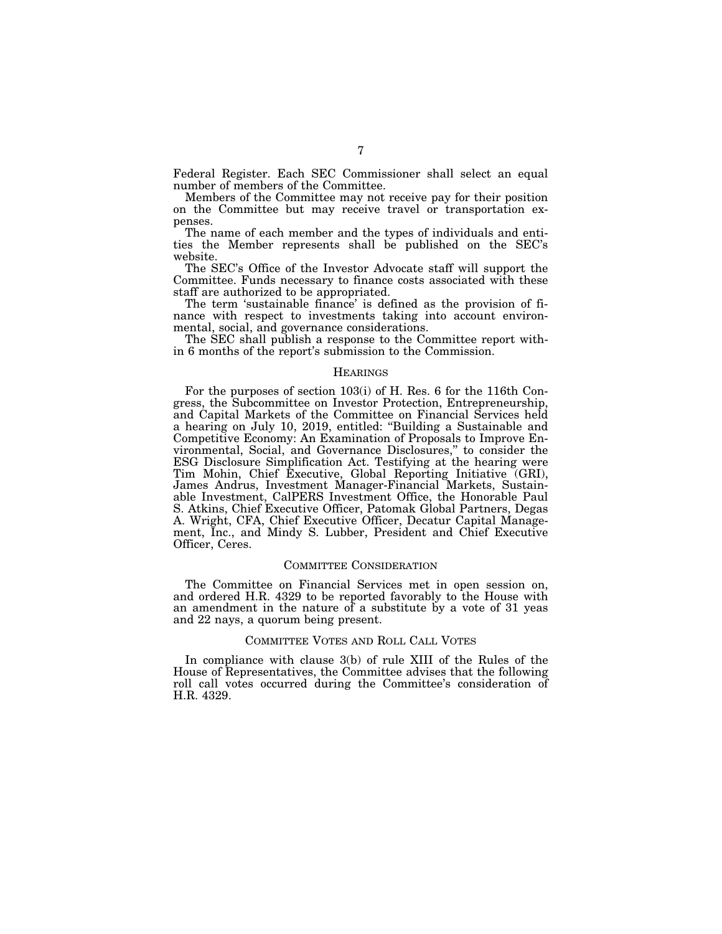Federal Register. Each SEC Commissioner shall select an equal number of members of the Committee.

Members of the Committee may not receive pay for their position on the Committee but may receive travel or transportation expenses.

The name of each member and the types of individuals and entities the Member represents shall be published on the SEC's website.

The SEC's Office of the Investor Advocate staff will support the Committee. Funds necessary to finance costs associated with these staff are authorized to be appropriated.

The term 'sustainable finance' is defined as the provision of finance with respect to investments taking into account environmental, social, and governance considerations.

The SEC shall publish a response to the Committee report within 6 months of the report's submission to the Commission.

#### **HEARINGS**

For the purposes of section 103(i) of H. Res. 6 for the 116th Congress, the Subcommittee on Investor Protection, Entrepreneurship, and Capital Markets of the Committee on Financial Services held a hearing on July 10, 2019, entitled: ''Building a Sustainable and Competitive Economy: An Examination of Proposals to Improve Environmental, Social, and Governance Disclosures,'' to consider the ESG Disclosure Simplification Act. Testifying at the hearing were Tim Mohin, Chief Executive, Global Reporting Initiative (GRI), James Andrus, Investment Manager-Financial Markets, Sustainable Investment, CalPERS Investment Office, the Honorable Paul S. Atkins, Chief Executive Officer, Patomak Global Partners, Degas A. Wright, CFA, Chief Executive Officer, Decatur Capital Management, Inc., and Mindy S. Lubber, President and Chief Executive Officer, Ceres.

#### COMMITTEE CONSIDERATION

The Committee on Financial Services met in open session on, and ordered H.R. 4329 to be reported favorably to the House with an amendment in the nature of a substitute by a vote of 31 yeas and 22 nays, a quorum being present.

### COMMITTEE VOTES AND ROLL CALL VOTES

In compliance with clause 3(b) of rule XIII of the Rules of the House of Representatives, the Committee advises that the following roll call votes occurred during the Committee's consideration of H.R. 4329.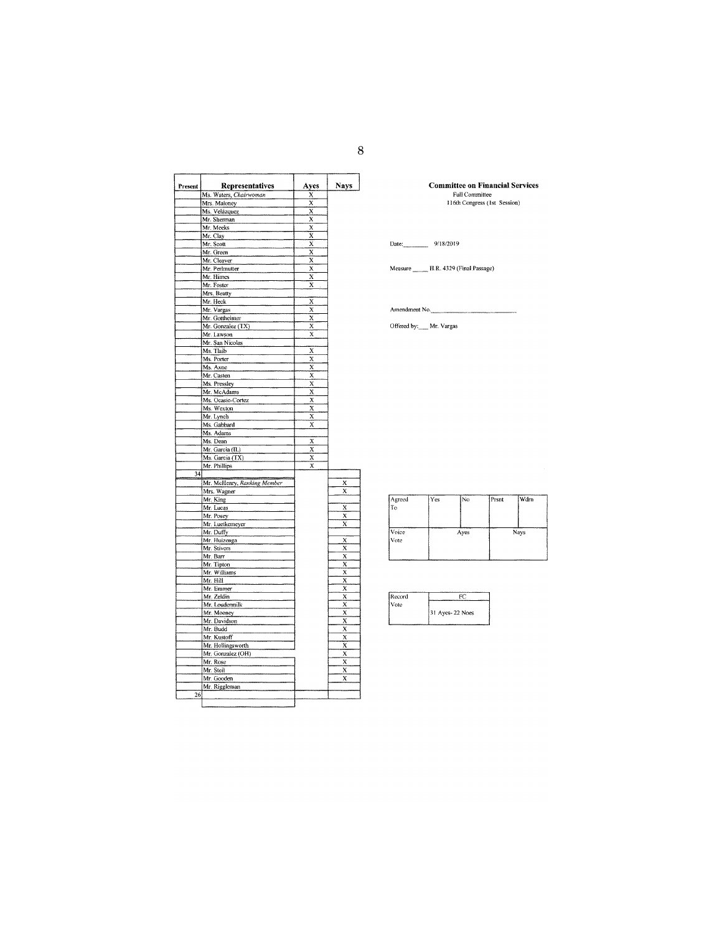| Present | Representatives               | Ayes                         | Nays                    |
|---------|-------------------------------|------------------------------|-------------------------|
|         | Ms. Waters, Chairwoman        | X                            |                         |
|         | Mrs. Maloney                  | X                            |                         |
|         | Ms. Velázquez                 | $\overline{\mathbf{x}}$      |                         |
|         | Mr. Sherman                   | X                            |                         |
|         | Mr. Meeks                     | $\overline{\mathbf{x}}$      |                         |
|         | Mr. Clay                      | $\bar{x}$                    |                         |
|         | Mr. Scott                     | $\bar{\mathbf{x}}$           |                         |
|         | Mr. Green                     | $\overline{\mathbf{x}}$      |                         |
|         | Mr. Cleaver<br>Mr. Perimutter | X<br>$\overline{\mathbf{x}}$ |                         |
|         | Mr. Himes                     | $\bar{\mathbf{x}}$           |                         |
|         | Mr. Foster                    | X                            |                         |
|         | Mrs. Beatty                   |                              |                         |
|         | Mr. Heck                      | X                            |                         |
|         | Mr. Vargas                    | $\bar{x}$                    |                         |
|         | Mr. Gottheimer                | $\overline{\mathbf{x}}$      |                         |
|         | Mr. Gonzalez (TX)             | X                            |                         |
|         | Mr. Lawson                    | $\bar{\mathrm{x}}$           |                         |
|         | Mr. San Nicolas               |                              |                         |
|         | Ms. Tlaib                     | X                            |                         |
|         | Ms. Porter                    | X                            |                         |
|         | Ms. Axne                      | X                            |                         |
|         | Mr. Casten                    | $\overline{x}$               |                         |
|         | Ms. Pressley                  | $\overline{x}$               |                         |
|         | Mr. McAdams                   | $\overline{\mathbf{x}}$      |                         |
|         | Ms. Ocasio-Cortez             | X                            |                         |
|         | Ms. Wexton                    | X                            |                         |
|         | Mr. Lynch                     | X<br>X                       |                         |
|         | Ms. Gabbard<br>Ms. Adams      |                              |                         |
|         | Ms. Dean                      | X                            |                         |
|         | Mr. Garcia (IL)               | X                            |                         |
|         | Ms. Garcia (TX)               | X                            |                         |
|         | Mr. Phillips                  | $\overline{\mathbf{x}}$      |                         |
| 34      |                               |                              |                         |
|         | Mr. McHenry, Ranking Member   |                              | X                       |
|         | Mrs. Wagner                   |                              | х                       |
|         | Mr. King                      |                              |                         |
|         | Mr. Lucas                     |                              | X                       |
|         | Mr. Posey                     |                              | X                       |
|         | Mr. Luetkemeyer               |                              | $\overline{\mathbf{x}}$ |
|         | Mr. Duffy                     |                              |                         |
|         | Mr. Huizenga                  |                              | X                       |
|         | Mr. Stivers                   |                              | X<br>X                  |
|         | Mr. Barr<br>Mr. Tipton        |                              | X                       |
|         | Mr. Williams                  |                              | X                       |
|         | Mr. Hill                      |                              | X                       |
|         | Mr. Emmer                     |                              | X                       |
|         | Mr. Zeldin                    |                              |                         |
|         | Mr. Loudermilk                |                              | $\frac{x}{x}$           |
|         | Mr. Mooney                    |                              | $\overline{x}$          |
|         | Mr. Davidson                  |                              | X                       |
|         | Mr. Budd                      |                              | X                       |
|         | Mr. Kustoff                   |                              | X                       |
|         | Mr. Hollingsworth             |                              | $\overline{x}$          |
|         | Mr. Gonzalez (OH)             |                              | X                       |
|         | Mr. Rose                      |                              | X                       |
|         | Mr. Steil                     |                              | X                       |
|         | Mr. Gooden                    |                              | X                       |
| 26      | Mr. Riggleman                 |                              |                         |
|         |                               |                              |                         |

**Committee on Financial Services**<br>Full Committee<br>116th Congress (1st Session)

### Date: 9/18/2019

Measure \_\_\_\_\_\_ H.R. 4329 (Final Passage)

Amendment No.

Offered by: \_\_\_\_ Mr. Vargas

| Agreed<br>To  | Yes | No   | Prsnt | Wdrn |
|---------------|-----|------|-------|------|
| Voice<br>Vote |     | Ayes |       | Nays |

| Record |                 |
|--------|-----------------|
| Vote   |                 |
|        | 31 Ayes-22 Noes |
|        |                 |

8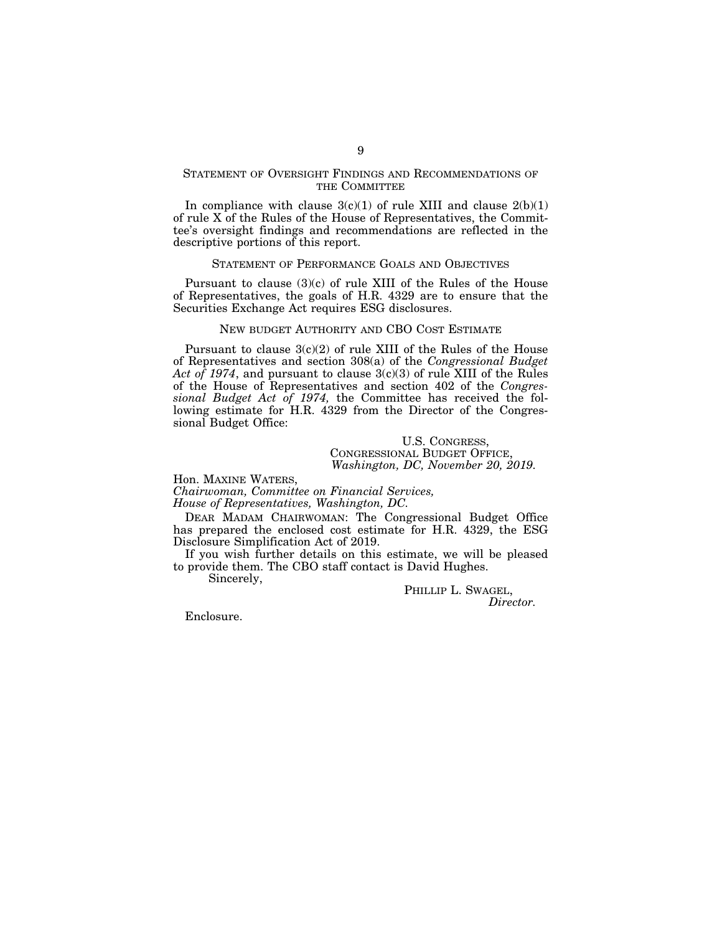### STATEMENT OF OVERSIGHT FINDINGS AND RECOMMENDATIONS OF THE COMMITTEE

In compliance with clause  $3(c)(1)$  of rule XIII and clause  $2(b)(1)$ of rule X of the Rules of the House of Representatives, the Committee's oversight findings and recommendations are reflected in the descriptive portions of this report.

### STATEMENT OF PERFORMANCE GOALS AND OBJECTIVES

Pursuant to clause  $(3)(c)$  of rule XIII of the Rules of the House of Representatives, the goals of H.R. 4329 are to ensure that the Securities Exchange Act requires ESG disclosures.

### NEW BUDGET AUTHORITY AND CBO COST ESTIMATE

Pursuant to clause 3(c)(2) of rule XIII of the Rules of the House of Representatives and section 308(a) of the *Congressional Budget Act of 1974*, and pursuant to clause 3(c)(3) of rule XIII of the Rules of the House of Representatives and section 402 of the *Congressional Budget Act of 1974,* the Committee has received the following estimate for H.R. 4329 from the Director of the Congressional Budget Office:

### U.S. CONGRESS, CONGRESSIONAL BUDGET OFFICE, *Washington, DC, November 20, 2019.*

Hon. MAXINE WATERS, *Chairwoman, Committee on Financial Services, House of Representatives, Washington, DC.* 

DEAR MADAM CHAIRWOMAN: The Congressional Budget Office has prepared the enclosed cost estimate for H.R. 4329, the ESG Disclosure Simplification Act of 2019.

If you wish further details on this estimate, we will be pleased to provide them. The CBO staff contact is David Hughes.

Sincerely,

PHILLIP L. SWAGEL, *Director.* 

Enclosure.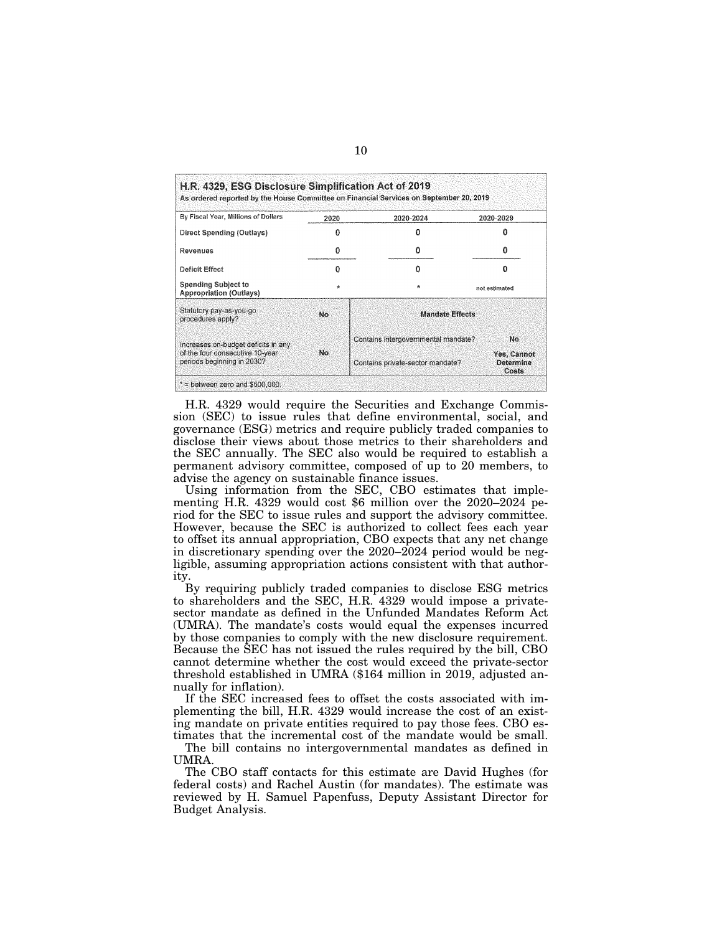| By Fiscal Year, Millions of Dollars                                                                  | 2020 | 2020-2024                           | 2020-2029                         |  |
|------------------------------------------------------------------------------------------------------|------|-------------------------------------|-----------------------------------|--|
| Direct Spending (Outlays)                                                                            |      |                                     |                                   |  |
| Revenues                                                                                             | Ω    | o                                   |                                   |  |
| Deficit Effect                                                                                       | n    | n                                   | п                                 |  |
| <b>Spending Subject to</b><br><b>Appropriation (Outlays)</b>                                         | ÷    | ÷                                   | not estimated                     |  |
| Statutory pay-as-you-go<br>procedures apply?                                                         | No   | <b>Mandate Effects</b>              |                                   |  |
| Increases on-budget deficits in any<br>of the four consecutive 10-year<br>periods beginning in 2030? |      | Contains intergovernmental mandate? | No.                               |  |
|                                                                                                      | No.  | Contains private-sector mandate?    | Yes, Cannot<br>Determine<br>Costs |  |

H.R. 4329 would require the Securities and Exchange Commission (SEC) to issue rules that define environmental, social, and governance (ESG) metrics and require publicly traded companies to disclose their views about those metrics to their shareholders and the SEC annually. The SEC also would be required to establish a permanent advisory committee, composed of up to 20 members, to advise the agency on sustainable finance issues.

Using information from the SEC, CBO estimates that implementing H.R. 4329 would cost \$6 million over the 2020–2024 period for the SEC to issue rules and support the advisory committee. However, because the SEC is authorized to collect fees each year to offset its annual appropriation, CBO expects that any net change in discretionary spending over the 2020–2024 period would be negligible, assuming appropriation actions consistent with that authority.

By requiring publicly traded companies to disclose ESG metrics to shareholders and the SEC, H.R. 4329 would impose a privatesector mandate as defined in the Unfunded Mandates Reform Act (UMRA). The mandate's costs would equal the expenses incurred by those companies to comply with the new disclosure requirement. Because the SEC has not issued the rules required by the bill, CBO cannot determine whether the cost would exceed the private-sector threshold established in UMRA (\$164 million in 2019, adjusted annually for inflation).

If the SEC increased fees to offset the costs associated with implementing the bill, H.R. 4329 would increase the cost of an existing mandate on private entities required to pay those fees. CBO estimates that the incremental cost of the mandate would be small.

The bill contains no intergovernmental mandates as defined in UMRA.

The CBO staff contacts for this estimate are David Hughes (for federal costs) and Rachel Austin (for mandates). The estimate was reviewed by H. Samuel Papenfuss, Deputy Assistant Director for Budget Analysis.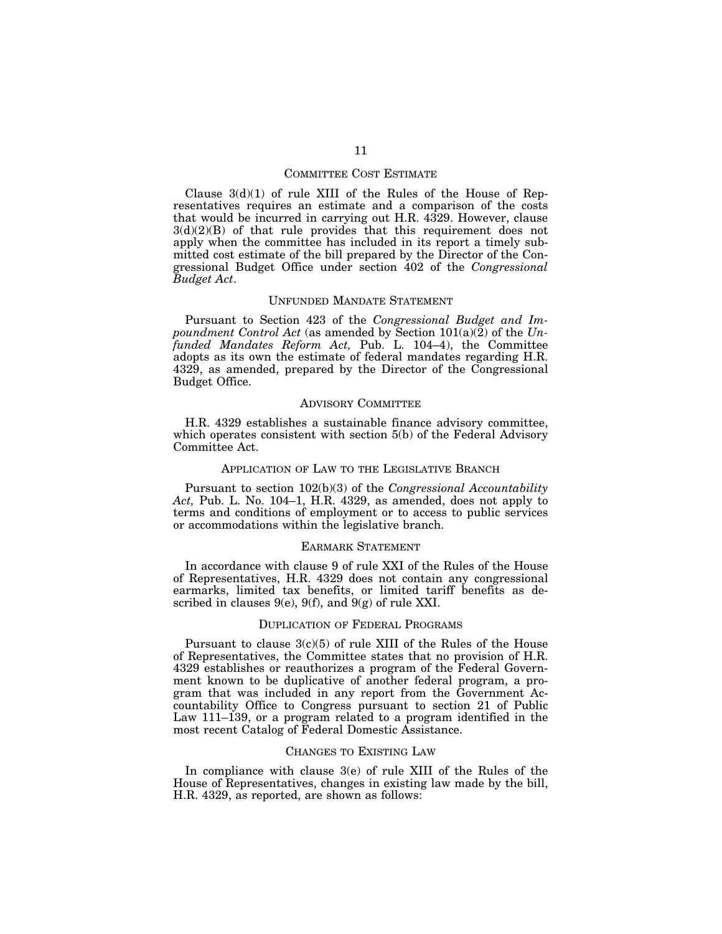### COMMITTEE COST ESTIMATE

Clause  $3(d)(1)$  of rule XIII of the Rules of the House of Representatives requires an estimate and a comparison of the costs that would be incurred in carrying out H.R. 4329. However, clause  $3(d)(2)(B)$  of that rule provides that this requirement does not apply when the committee has included in its report a timely submitted cost estimate of the bill prepared by the Director of the Congressional Budget Office under section 402 of the *Congressional Budget Act*.

### UNFUNDED MANDATE STATEMENT

Pursuant to Section 423 of the *Congressional Budget and Impoundment Control Act* (as amended by Section 101(a)(2) of the *Unfunded Mandates Reform Act,* Pub. L. 104–4), the Committee adopts as its own the estimate of federal mandates regarding H.R. 4329, as amended, prepared by the Director of the Congressional Budget Office.

#### ADVISORY COMMITTEE

H.R. 4329 establishes a sustainable finance advisory committee, which operates consistent with section 5(b) of the Federal Advisory Committee Act.

#### APPLICATION OF LAW TO THE LEGISLATIVE BRANCH

Pursuant to section 102(b)(3) of the *Congressional Accountability Act,* Pub. L. No. 104–1, H.R. 4329, as amended, does not apply to terms and conditions of employment or to access to public services or accommodations within the legislative branch.

#### EARMARK STATEMENT

In accordance with clause 9 of rule XXI of the Rules of the House of Representatives, H.R. 4329 does not contain any congressional earmarks, limited tax benefits, or limited tariff benefits as described in clauses  $9(e)$ ,  $9(f)$ , and  $9(g)$  of rule XXI.

### DUPLICATION OF FEDERAL PROGRAMS

Pursuant to clause  $3(c)(5)$  of rule XIII of the Rules of the House of Representatives, the Committee states that no provision of H.R. 4329 establishes or reauthorizes a program of the Federal Government known to be duplicative of another federal program, a program that was included in any report from the Government Accountability Office to Congress pursuant to section 21 of Public Law 111–139, or a program related to a program identified in the most recent Catalog of Federal Domestic Assistance.

# CHANGES TO EXISTING LAW

In compliance with clause 3(e) of rule XIII of the Rules of the House of Representatives, changes in existing law made by the bill, H.R. 4329, as reported, are shown as follows: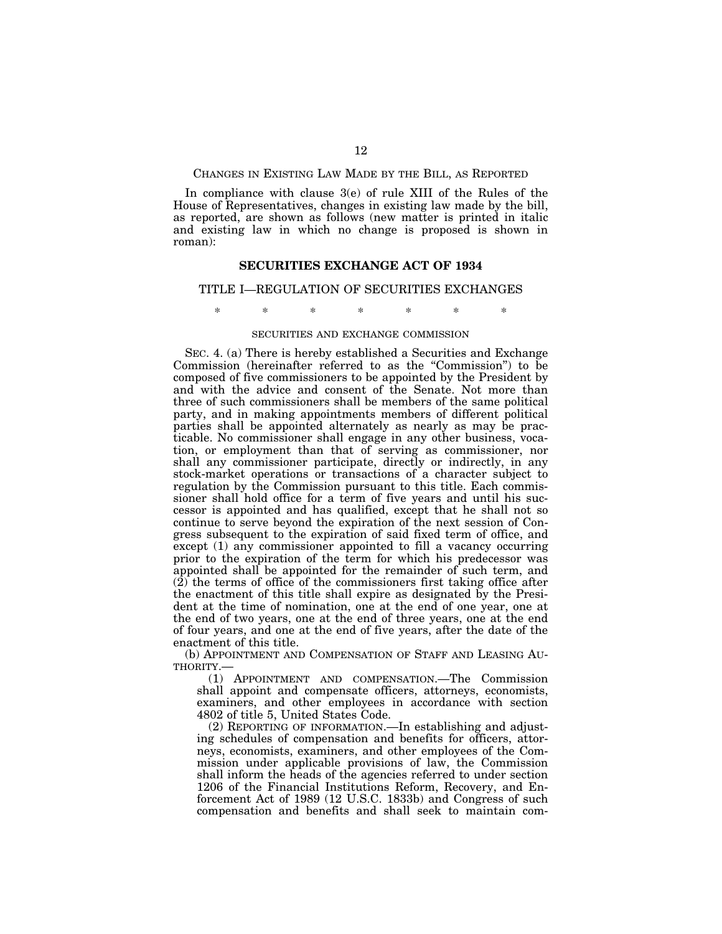CHANGES IN EXISTING LAW MADE BY THE BILL, AS REPORTED

In compliance with clause 3(e) of rule XIII of the Rules of the House of Representatives, changes in existing law made by the bill, as reported, are shown as follows (new matter is printed in italic and existing law in which no change is proposed is shown in roman):

### **SECURITIES EXCHANGE ACT OF 1934**

#### TITLE I—REGULATION OF SECURITIES EXCHANGES

\* \* \* \* \* \* \*

### SECURITIES AND EXCHANGE COMMISSION

SEC. 4. (a) There is hereby established a Securities and Exchange Commission (hereinafter referred to as the ''Commission'') to be composed of five commissioners to be appointed by the President by and with the advice and consent of the Senate. Not more than three of such commissioners shall be members of the same political party, and in making appointments members of different political parties shall be appointed alternately as nearly as may be practicable. No commissioner shall engage in any other business, vocation, or employment than that of serving as commissioner, nor shall any commissioner participate, directly or indirectly, in any stock-market operations or transactions of a character subject to regulation by the Commission pursuant to this title. Each commissioner shall hold office for a term of five years and until his successor is appointed and has qualified, except that he shall not so continue to serve beyond the expiration of the next session of Congress subsequent to the expiration of said fixed term of office, and except (1) any commissioner appointed to fill a vacancy occurring prior to the expiration of the term for which his predecessor was appointed shall be appointed for the remainder of such term, and  $(2)$  the terms of office of the commissioners first taking office after the enactment of this title shall expire as designated by the President at the time of nomination, one at the end of one year, one at the end of two years, one at the end of three years, one at the end of four years, and one at the end of five years, after the date of the enactment of this title.

(b) APPOINTMENT AND COMPENSATION OF STAFF AND LEASING AU-THORITY.—

(1) APPOINTMENT AND COMPENSATION.—The Commission shall appoint and compensate officers, attorneys, economists, examiners, and other employees in accordance with section 4802 of title 5, United States Code.

(2) REPORTING OF INFORMATION.—In establishing and adjusting schedules of compensation and benefits for officers, attorneys, economists, examiners, and other employees of the Commission under applicable provisions of law, the Commission shall inform the heads of the agencies referred to under section 1206 of the Financial Institutions Reform, Recovery, and Enforcement Act of 1989 (12 U.S.C. 1833b) and Congress of such compensation and benefits and shall seek to maintain com-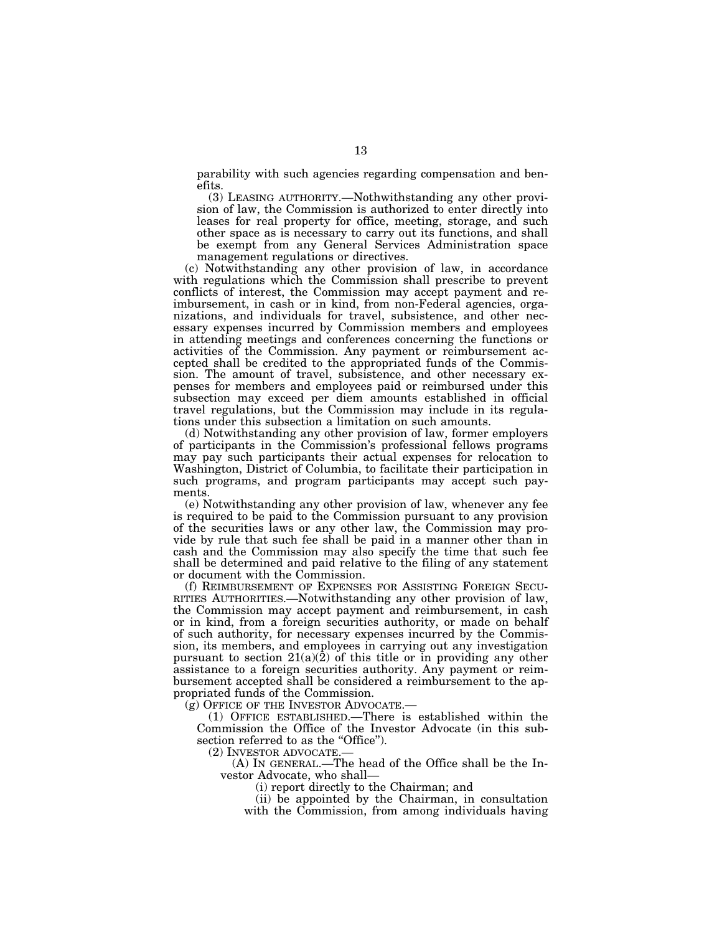parability with such agencies regarding compensation and benefits.

(3) LEASING AUTHORITY.—Nothwithstanding any other provision of law, the Commission is authorized to enter directly into leases for real property for office, meeting, storage, and such other space as is necessary to carry out its functions, and shall be exempt from any General Services Administration space management regulations or directives.

(c) Notwithstanding any other provision of law, in accordance with regulations which the Commission shall prescribe to prevent conflicts of interest, the Commission may accept payment and reimbursement, in cash or in kind, from non-Federal agencies, organizations, and individuals for travel, subsistence, and other necessary expenses incurred by Commission members and employees in attending meetings and conferences concerning the functions or activities of the Commission. Any payment or reimbursement accepted shall be credited to the appropriated funds of the Commission. The amount of travel, subsistence, and other necessary expenses for members and employees paid or reimbursed under this subsection may exceed per diem amounts established in official travel regulations, but the Commission may include in its regulations under this subsection a limitation on such amounts.

(d) Notwithstanding any other provision of law, former employers of participants in the Commission's professional fellows programs may pay such participants their actual expenses for relocation to Washington, District of Columbia, to facilitate their participation in such programs, and program participants may accept such payments.

(e) Notwithstanding any other provision of law, whenever any fee is required to be paid to the Commission pursuant to any provision of the securities laws or any other law, the Commission may provide by rule that such fee shall be paid in a manner other than in cash and the Commission may also specify the time that such fee shall be determined and paid relative to the filing of any statement or document with the Commission.

(f) REIMBURSEMENT OF EXPENSES FOR ASSISTING FOREIGN SECU- RITIES AUTHORITIES.—Notwithstanding any other provision of law, the Commission may accept payment and reimbursement, in cash or in kind, from a foreign securities authority, or made on behalf of such authority, for necessary expenses incurred by the Commission, its members, and employees in carrying out any investigation pursuant to section  $21(a)(\overline{2})$  of this title or in providing any other assistance to a foreign securities authority. Any payment or reimbursement accepted shall be considered a reimbursement to the appropriated funds of the Commission.

(g) OFFICE OF THE INVESTOR ADVOCATE.—

(1) OFFICE ESTABLISHED.—There is established within the Commission the Office of the Investor Advocate (in this subsection referred to as the "Office").

(2) INVESTOR ADVOCATE.— (A) IN GENERAL.—The head of the Office shall be the Investor Advocate, who shall—

(i) report directly to the Chairman; and

(ii) be appointed by the Chairman, in consultation

with the Commission, from among individuals having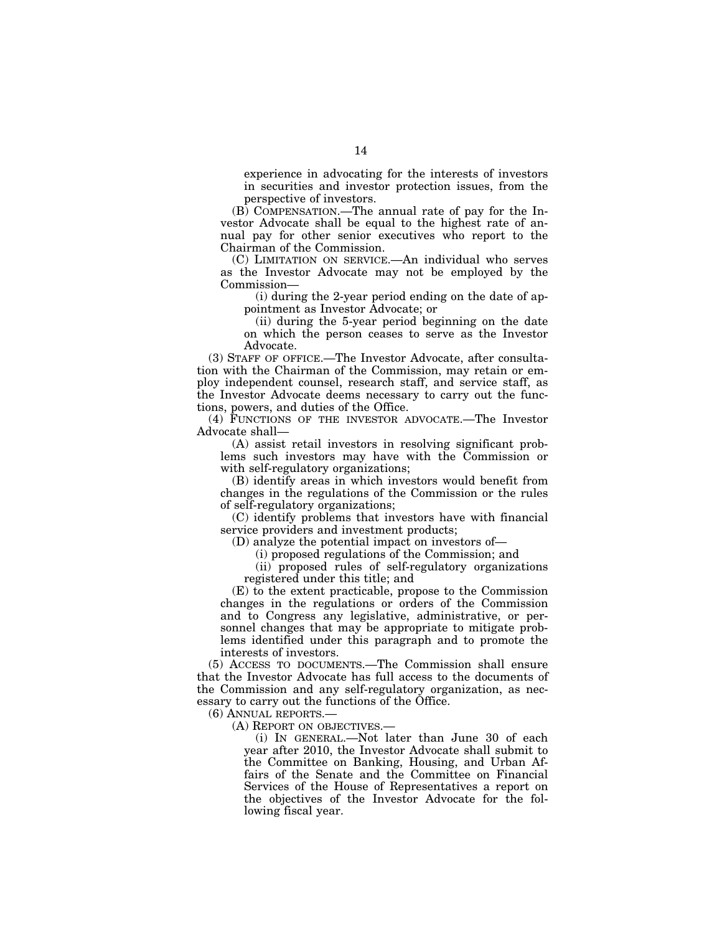experience in advocating for the interests of investors in securities and investor protection issues, from the perspective of investors.

(B) COMPENSATION.—The annual rate of pay for the Investor Advocate shall be equal to the highest rate of annual pay for other senior executives who report to the Chairman of the Commission.

(C) LIMITATION ON SERVICE.—An individual who serves as the Investor Advocate may not be employed by the Commission—

(i) during the 2-year period ending on the date of appointment as Investor Advocate; or

(ii) during the 5-year period beginning on the date on which the person ceases to serve as the Investor Advocate.

(3) STAFF OF OFFICE.—The Investor Advocate, after consultation with the Chairman of the Commission, may retain or employ independent counsel, research staff, and service staff, as the Investor Advocate deems necessary to carry out the functions, powers, and duties of the Office.

(4) FUNCTIONS OF THE INVESTOR ADVOCATE.—The Investor Advocate shall—

(A) assist retail investors in resolving significant problems such investors may have with the Commission or with self-regulatory organizations;

(B) identify areas in which investors would benefit from changes in the regulations of the Commission or the rules of self-regulatory organizations;

(C) identify problems that investors have with financial service providers and investment products;

(D) analyze the potential impact on investors of—

(i) proposed regulations of the Commission; and

(ii) proposed rules of self-regulatory organizations registered under this title; and

(E) to the extent practicable, propose to the Commission changes in the regulations or orders of the Commission and to Congress any legislative, administrative, or personnel changes that may be appropriate to mitigate problems identified under this paragraph and to promote the interests of investors.

(5) ACCESS TO DOCUMENTS.—The Commission shall ensure that the Investor Advocate has full access to the documents of the Commission and any self-regulatory organization, as necessary to carry out the functions of the Office.

(6) ANNUAL REPORTS.—

(A) REPORT ON OBJECTIVES.—

(i) IN GENERAL.—Not later than June 30 of each year after 2010, the Investor Advocate shall submit to the Committee on Banking, Housing, and Urban Affairs of the Senate and the Committee on Financial Services of the House of Representatives a report on the objectives of the Investor Advocate for the following fiscal year.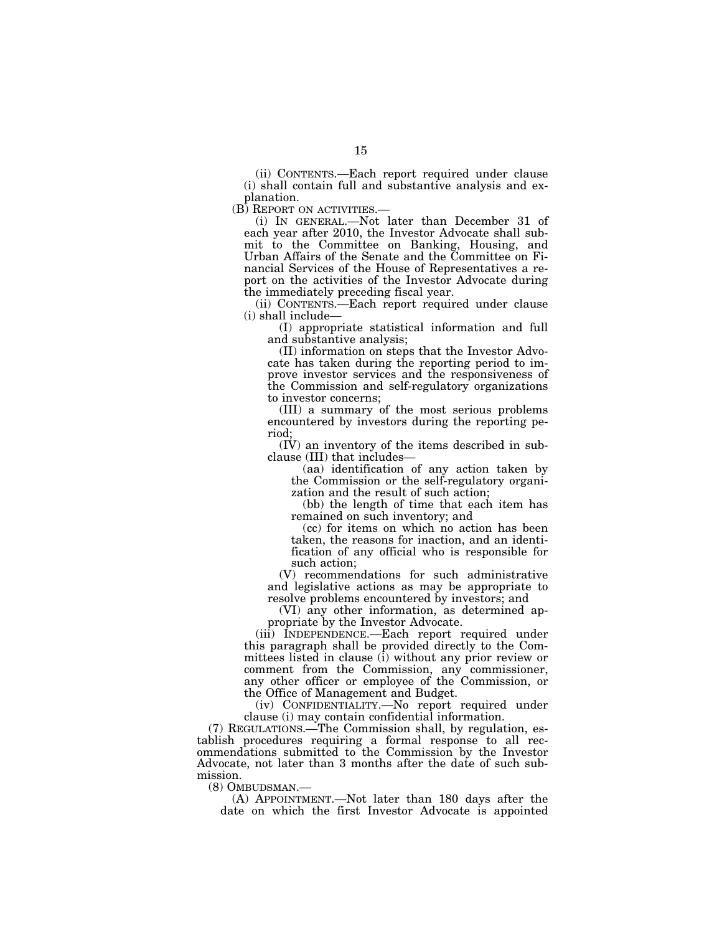(ii) CONTENTS.—Each report required under clause (i) shall contain full and substantive analysis and explanation.<br>(B) REPORT ON ACTIVITIES.

(i) IN GENERAL.—Not later than December 31 of each year after 2010, the Investor Advocate shall submit to the Committee on Banking, Housing, and Urban Affairs of the Senate and the Committee on Financial Services of the House of Representatives a report on the activities of the Investor Advocate during the immediately preceding fiscal year.

(ii) CONTENTS.—Each report required under clause (i) shall include—

(I) appropriate statistical information and full and substantive analysis;

(II) information on steps that the Investor Advocate has taken during the reporting period to improve investor services and the responsiveness of the Commission and self-regulatory organizations to investor concerns;

(III) a summary of the most serious problems encountered by investors during the reporting period;

(IV) an inventory of the items described in subclause (III) that includes—

(aa) identification of any action taken by the Commission or the self-regulatory organization and the result of such action;

(bb) the length of time that each item has remained on such inventory; and

(cc) for items on which no action has been taken, the reasons for inaction, and an identification of any official who is responsible for such action;

(V) recommendations for such administrative and legislative actions as may be appropriate to resolve problems encountered by investors; and

(VI) any other information, as determined appropriate by the Investor Advocate.

(iii) INDEPENDENCE.—Each report required under this paragraph shall be provided directly to the Committees listed in clause (i) without any prior review or comment from the Commission, any commissioner, any other officer or employee of the Commission, or the Office of Management and Budget.

(iv) CONFIDENTIALITY.—No report required under clause (i) may contain confidential information.

(7) REGULATIONS.—The Commission shall, by regulation, establish procedures requiring a formal response to all recommendations submitted to the Commission by the Investor Advocate, not later than 3 months after the date of such submission.

(8) OMBUDSMAN.—

(A) APPOINTMENT.—Not later than 180 days after the date on which the first Investor Advocate is appointed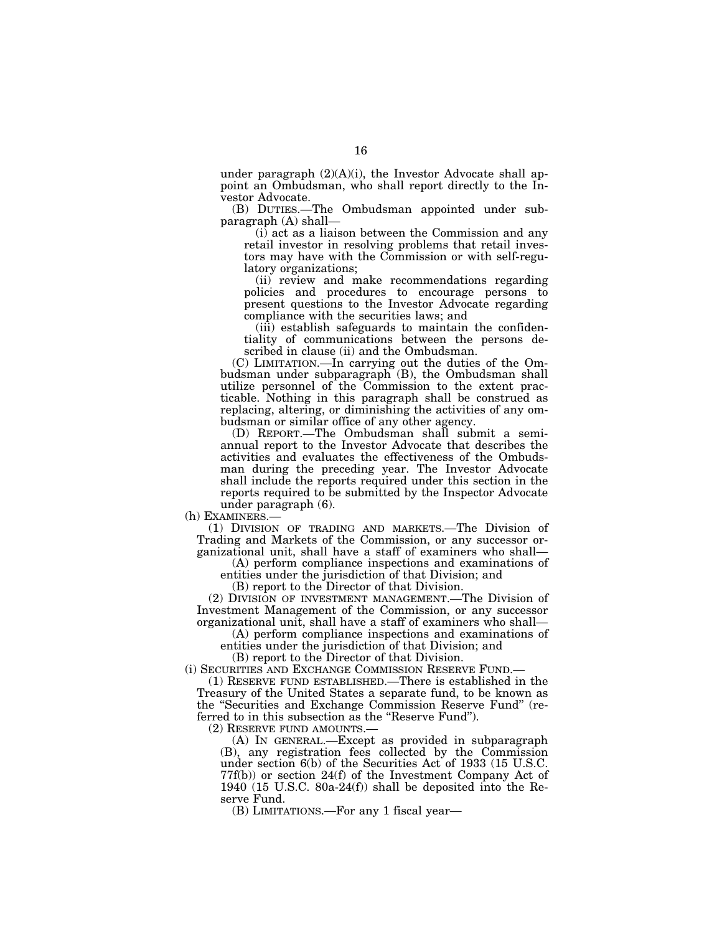under paragraph  $(2)(A)(i)$ , the Investor Advocate shall appoint an Ombudsman, who shall report directly to the Investor Advocate.

(B) DUTIES.—The Ombudsman appointed under subparagraph (A) shall—

(i) act as a liaison between the Commission and any retail investor in resolving problems that retail investors may have with the Commission or with self-regulatory organizations;

(ii) review and make recommendations regarding policies and procedures to encourage persons to present questions to the Investor Advocate regarding compliance with the securities laws; and

(iii) establish safeguards to maintain the confidentiality of communications between the persons described in clause (ii) and the Ombudsman.

(C) LIMITATION.—In carrying out the duties of the Ombudsman under subparagraph (B), the Ombudsman shall utilize personnel of the Commission to the extent practicable. Nothing in this paragraph shall be construed as replacing, altering, or diminishing the activities of any ombudsman or similar office of any other agency.

(D) REPORT.—The Ombudsman shall submit a semiannual report to the Investor Advocate that describes the activities and evaluates the effectiveness of the Ombudsman during the preceding year. The Investor Advocate shall include the reports required under this section in the reports required to be submitted by the Inspector Advocate under paragraph (6).

(h) EXAMINERS.—

(1) DIVISION OF TRADING AND MARKETS.—The Division of Trading and Markets of the Commission, or any successor organizational unit, shall have a staff of examiners who shall—

(A) perform compliance inspections and examinations of

entities under the jurisdiction of that Division; and

(B) report to the Director of that Division.

(2) DIVISION OF INVESTMENT MANAGEMENT.—The Division of Investment Management of the Commission, or any successor organizational unit, shall have a staff of examiners who shall—

(A) perform compliance inspections and examinations of entities under the jurisdiction of that Division; and

(B) report to the Director of that Division.

(i) SECURITIES AND EXCHANGE COMMISSION RESERVE FUND.—

(1) RESERVE FUND ESTABLISHED.—There is established in the Treasury of the United States a separate fund, to be known as the ''Securities and Exchange Commission Reserve Fund'' (referred to in this subsection as the "Reserve Fund").

(2) RESERVE FUND AMOUNTS.—

(A) IN GENERAL.—Except as provided in subparagraph (B), any registration fees collected by the Commission under section 6(b) of the Securities Act of 1933 (15 U.S.C. 77f(b)) or section 24(f) of the Investment Company Act of 1940 (15 U.S.C. 80a-24(f)) shall be deposited into the Reserve Fund.

(B) LIMITATIONS.—For any 1 fiscal year—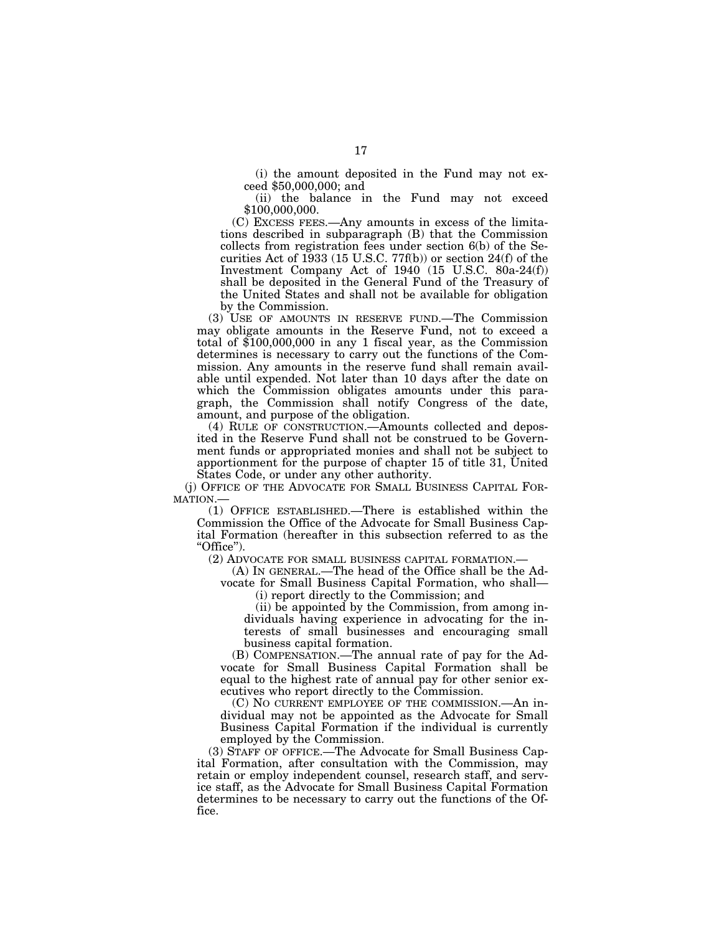(i) the amount deposited in the Fund may not exceed \$50,000,000; and

(ii) the balance in the Fund may not exceed \$100,000,000.

(C) EXCESS FEES.—Any amounts in excess of the limitations described in subparagraph (B) that the Commission collects from registration fees under section 6(b) of the Securities Act of 1933 (15 U.S.C. 77f(b)) or section 24(f) of the Investment Company Act of 1940 (15 U.S.C. 80a-24(f)) shall be deposited in the General Fund of the Treasury of the United States and shall not be available for obligation by the Commission.

(3) USE OF AMOUNTS IN RESERVE FUND.—The Commission may obligate amounts in the Reserve Fund, not to exceed a total of \$100,000,000 in any 1 fiscal year, as the Commission determines is necessary to carry out the functions of the Commission. Any amounts in the reserve fund shall remain available until expended. Not later than 10 days after the date on which the Commission obligates amounts under this paragraph, the Commission shall notify Congress of the date, amount, and purpose of the obligation.

(4) RULE OF CONSTRUCTION.—Amounts collected and deposited in the Reserve Fund shall not be construed to be Government funds or appropriated monies and shall not be subject to apportionment for the purpose of chapter 15 of title 31, United States Code, or under any other authority.

(j) OFFICE OF THE ADVOCATE FOR SMALL BUSINESS CAPITAL FOR-MATION.

(1) OFFICE ESTABLISHED.—There is established within the Commission the Office of the Advocate for Small Business Capital Formation (hereafter in this subsection referred to as the "Office").

(2) ADVOCATE FOR SMALL BUSINESS CAPITAL FORMATION.—

(A) IN GENERAL.—The head of the Office shall be the Advocate for Small Business Capital Formation, who shall—

(i) report directly to the Commission; and

(ii) be appointed by the Commission, from among individuals having experience in advocating for the interests of small businesses and encouraging small business capital formation.

(B) COMPENSATION.—The annual rate of pay for the Advocate for Small Business Capital Formation shall be equal to the highest rate of annual pay for other senior executives who report directly to the Commission.

(C) NO CURRENT EMPLOYEE OF THE COMMISSION.—An individual may not be appointed as the Advocate for Small Business Capital Formation if the individual is currently employed by the Commission.

(3) STAFF OF OFFICE.—The Advocate for Small Business Capital Formation, after consultation with the Commission, may retain or employ independent counsel, research staff, and service staff, as the Advocate for Small Business Capital Formation determines to be necessary to carry out the functions of the Office.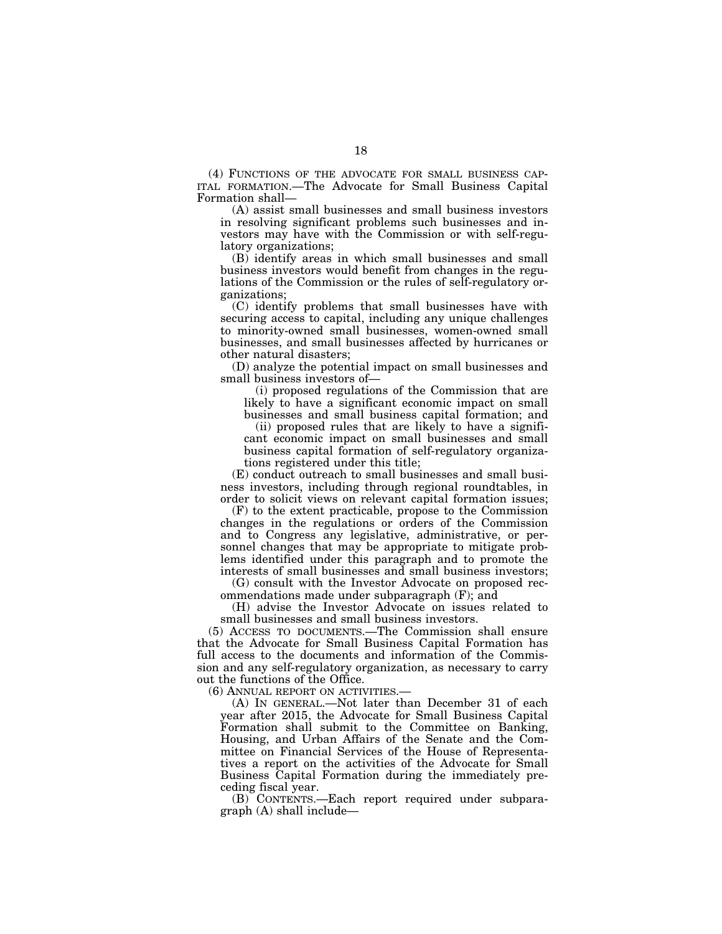(4) FUNCTIONS OF THE ADVOCATE FOR SMALL BUSINESS CAP-ITAL FORMATION.—The Advocate for Small Business Capital Formation shall—

(A) assist small businesses and small business investors in resolving significant problems such businesses and investors may have with the Commission or with self-regulatory organizations;

(B) identify areas in which small businesses and small business investors would benefit from changes in the regulations of the Commission or the rules of self-regulatory organizations;

(C) identify problems that small businesses have with securing access to capital, including any unique challenges to minority-owned small businesses, women-owned small businesses, and small businesses affected by hurricanes or other natural disasters;

(D) analyze the potential impact on small businesses and small business investors of—

(i) proposed regulations of the Commission that are likely to have a significant economic impact on small businesses and small business capital formation; and

(ii) proposed rules that are likely to have a significant economic impact on small businesses and small business capital formation of self-regulatory organizations registered under this title;

(E) conduct outreach to small businesses and small business investors, including through regional roundtables, in order to solicit views on relevant capital formation issues;

(F) to the extent practicable, propose to the Commission changes in the regulations or orders of the Commission and to Congress any legislative, administrative, or personnel changes that may be appropriate to mitigate problems identified under this paragraph and to promote the interests of small businesses and small business investors;

(G) consult with the Investor Advocate on proposed recommendations made under subparagraph (F); and

(H) advise the Investor Advocate on issues related to small businesses and small business investors.

(5) ACCESS TO DOCUMENTS.—The Commission shall ensure that the Advocate for Small Business Capital Formation has full access to the documents and information of the Commission and any self-regulatory organization, as necessary to carry out the functions of the Office.

(6) ANNUAL REPORT ON ACTIVITIES.—

(A) IN GENERAL.—Not later than December 31 of each year after 2015, the Advocate for Small Business Capital Formation shall submit to the Committee on Banking, Housing, and Urban Affairs of the Senate and the Committee on Financial Services of the House of Representatives a report on the activities of the Advocate for Small Business Capital Formation during the immediately preceding fiscal year.

(B) CONTENTS.—Each report required under subparagraph (A) shall include—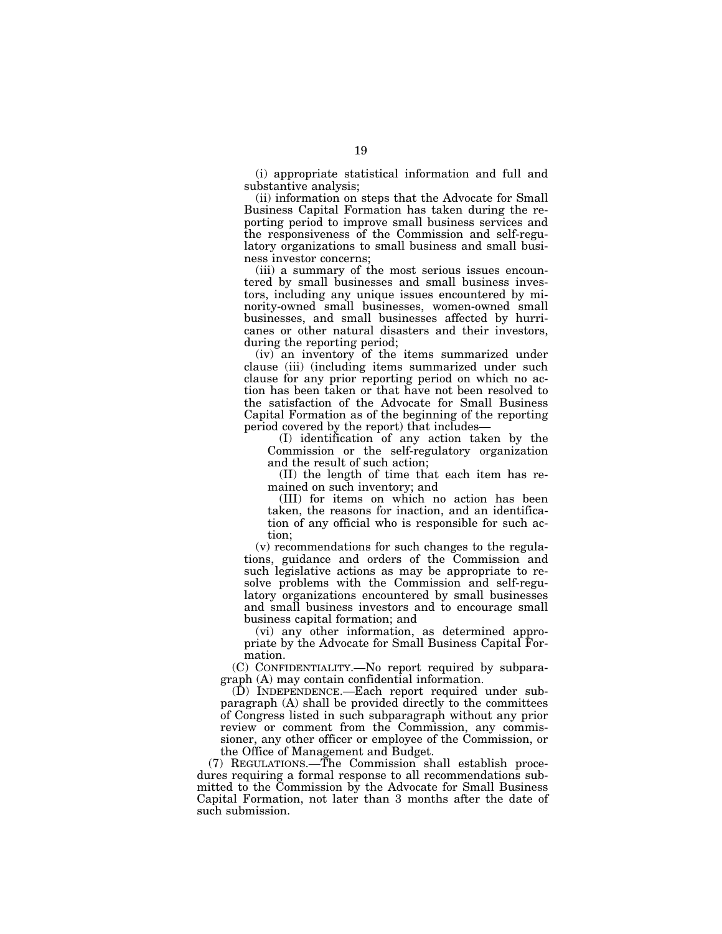(i) appropriate statistical information and full and substantive analysis;

(ii) information on steps that the Advocate for Small Business Capital Formation has taken during the reporting period to improve small business services and the responsiveness of the Commission and self-regulatory organizations to small business and small business investor concerns;

(iii) a summary of the most serious issues encountered by small businesses and small business investors, including any unique issues encountered by minority-owned small businesses, women-owned small businesses, and small businesses affected by hurricanes or other natural disasters and their investors, during the reporting period;

(iv) an inventory of the items summarized under clause (iii) (including items summarized under such clause for any prior reporting period on which no action has been taken or that have not been resolved to the satisfaction of the Advocate for Small Business Capital Formation as of the beginning of the reporting period covered by the report) that includes—

(I) identification of any action taken by the Commission or the self-regulatory organization and the result of such action;

(II) the length of time that each item has remained on such inventory; and

(III) for items on which no action has been taken, the reasons for inaction, and an identification of any official who is responsible for such action;

(v) recommendations for such changes to the regulations, guidance and orders of the Commission and such legislative actions as may be appropriate to resolve problems with the Commission and self-regulatory organizations encountered by small businesses and small business investors and to encourage small business capital formation; and

(vi) any other information, as determined appropriate by the Advocate for Small Business Capital Formation.

(C) CONFIDENTIALITY.—No report required by subparagraph (A) may contain confidential information.

(D) INDEPENDENCE.—Each report required under subparagraph (A) shall be provided directly to the committees of Congress listed in such subparagraph without any prior review or comment from the Commission, any commissioner, any other officer or employee of the Commission, or the Office of Management and Budget.

(7) REGULATIONS.—The Commission shall establish procedures requiring a formal response to all recommendations submitted to the Commission by the Advocate for Small Business Capital Formation, not later than 3 months after the date of such submission.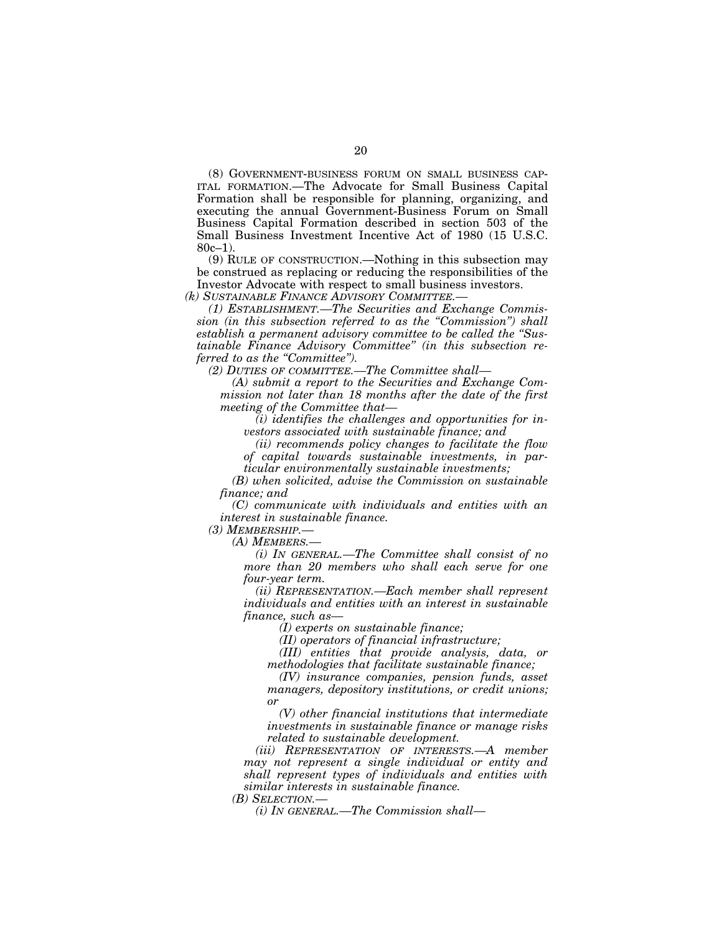(8) GOVERNMENT-BUSINESS FORUM ON SMALL BUSINESS CAP-ITAL FORMATION.—The Advocate for Small Business Capital Formation shall be responsible for planning, organizing, and executing the annual Government-Business Forum on Small Business Capital Formation described in section 503 of the Small Business Investment Incentive Act of 1980 (15 U.S.C. 80c–1).

(9) RULE OF CONSTRUCTION.—Nothing in this subsection may be construed as replacing or reducing the responsibilities of the Investor Advocate with respect to small business investors.

*(k) SUSTAINABLE FINANCE ADVISORY COMMITTEE.—* 

*(1) ESTABLISHMENT.—The Securities and Exchange Commission (in this subsection referred to as the ''Commission'') shall establish a permanent advisory committee to be called the ''Sustainable Finance Advisory Committee'' (in this subsection referred to as the ''Committee'').* 

*(2) DUTIES OF COMMITTEE.—The Committee shall—* 

*(A) submit a report to the Securities and Exchange Commission not later than 18 months after the date of the first meeting of the Committee that—* 

*(i) identifies the challenges and opportunities for investors associated with sustainable finance; and* 

*(ii) recommends policy changes to facilitate the flow of capital towards sustainable investments, in par-*

*ticular environmentally sustainable investments;* 

*(B) when solicited, advise the Commission on sustainable finance; and* 

*(C) communicate with individuals and entities with an interest in sustainable finance.* 

*(3) MEMBERSHIP.—* 

*(A) MEMBERS.—* 

*(i) IN GENERAL.—The Committee shall consist of no more than 20 members who shall each serve for one four-year term.* 

*(ii) REPRESENTATION.—Each member shall represent individuals and entities with an interest in sustainable finance, such as—* 

*(I) experts on sustainable finance;* 

*(II) operators of financial infrastructure;* 

*(III) entities that provide analysis, data, or methodologies that facilitate sustainable finance;* 

*(IV) insurance companies, pension funds, asset managers, depository institutions, or credit unions; or* 

*(V) other financial institutions that intermediate investments in sustainable finance or manage risks related to sustainable development.* 

*(iii) REPRESENTATION OF INTERESTS.—A member may not represent a single individual or entity and shall represent types of individuals and entities with similar interests in sustainable finance.* 

*(B) SELECTION.—* 

*(i) IN GENERAL.—The Commission shall—*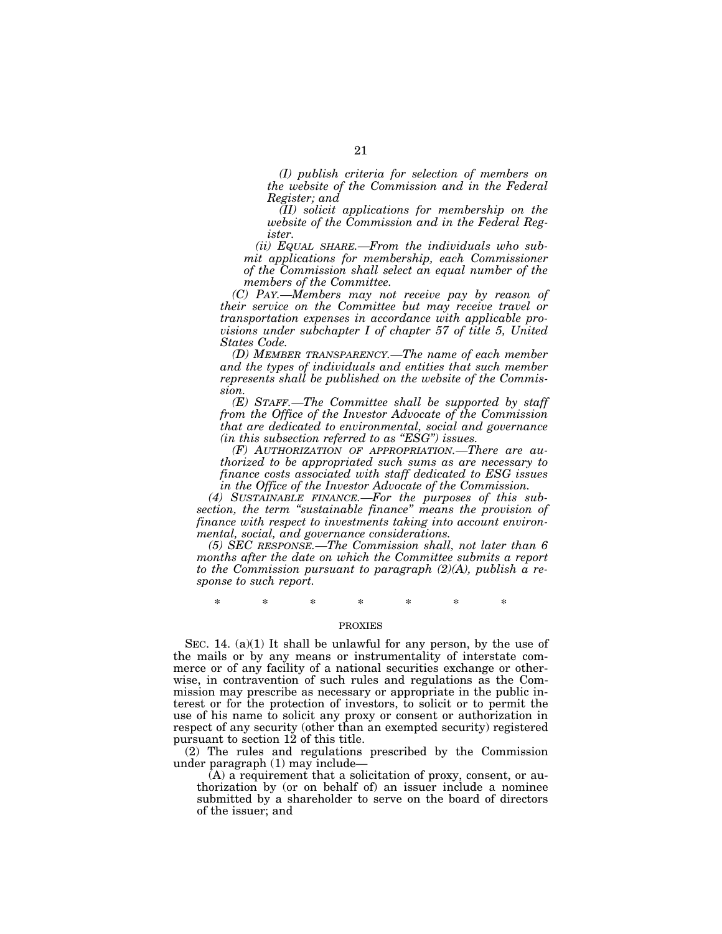*(I) publish criteria for selection of members on the website of the Commission and in the Federal Register; and* 

*(II) solicit applications for membership on the website of the Commission and in the Federal Register.* 

*(ii) EQUAL SHARE.—From the individuals who submit applications for membership, each Commissioner of the Commission shall select an equal number of the members of the Committee.* 

*(C) PAY.—Members may not receive pay by reason of their service on the Committee but may receive travel or transportation expenses in accordance with applicable provisions under subchapter I of chapter 57 of title 5, United States Code.* 

*(D) MEMBER TRANSPARENCY.—The name of each member and the types of individuals and entities that such member represents shall be published on the website of the Commission.* 

*(E) STAFF.—The Committee shall be supported by staff from the Office of the Investor Advocate of the Commission that are dedicated to environmental, social and governance (in this subsection referred to as ''ESG'') issues.* 

*(F) AUTHORIZATION OF APPROPRIATION.—There are authorized to be appropriated such sums as are necessary to finance costs associated with staff dedicated to ESG issues in the Office of the Investor Advocate of the Commission.* 

*(4) SUSTAINABLE FINANCE.—For the purposes of this subsection, the term ''sustainable finance'' means the provision of finance with respect to investments taking into account environmental, social, and governance considerations.* 

*(5) SEC RESPONSE.—The Commission shall, not later than 6 months after the date on which the Committee submits a report to the Commission pursuant to paragraph (2)(A), publish a response to such report.* 

\* \* \* \* \* \* \*

#### PROXIES

SEC. 14. (a)(1) It shall be unlawful for any person, by the use of the mails or by any means or instrumentality of interstate commerce or of any facility of a national securities exchange or otherwise, in contravention of such rules and regulations as the Commission may prescribe as necessary or appropriate in the public interest or for the protection of investors, to solicit or to permit the use of his name to solicit any proxy or consent or authorization in respect of any security (other than an exempted security) registered pursuant to section 12 of this title.

(2) The rules and regulations prescribed by the Commission under paragraph (1) may include—

(A) a requirement that a solicitation of proxy, consent, or authorization by (or on behalf of) an issuer include a nominee submitted by a shareholder to serve on the board of directors of the issuer; and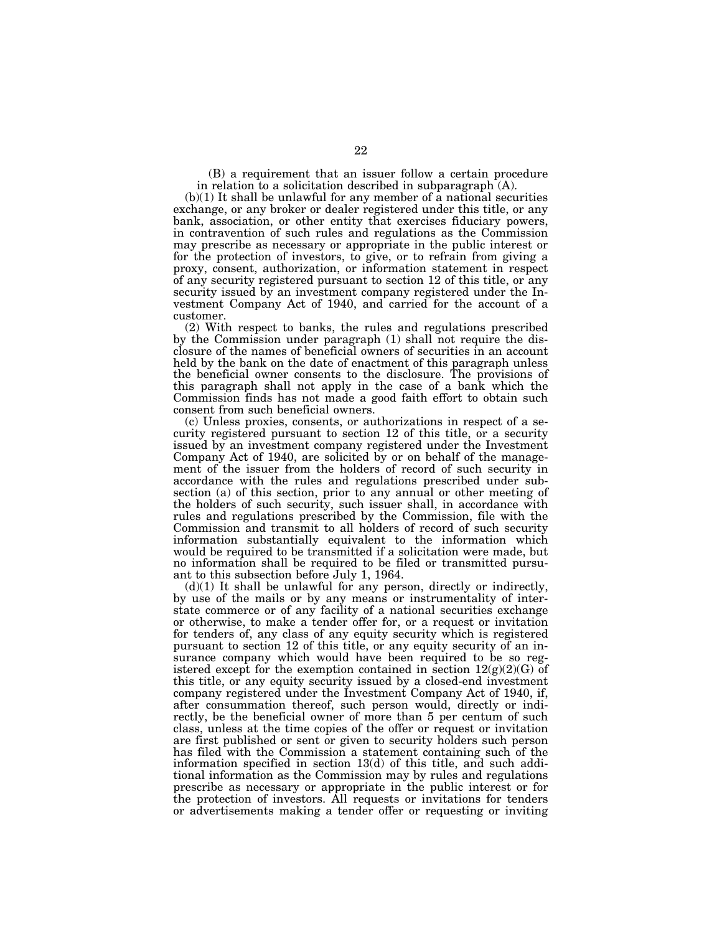(B) a requirement that an issuer follow a certain procedure in relation to a solicitation described in subparagraph (A).

 $(b)(1)$  It shall be unlawful for any member of a national securities exchange, or any broker or dealer registered under this title, or any bank, association, or other entity that exercises fiduciary powers, in contravention of such rules and regulations as the Commission may prescribe as necessary or appropriate in the public interest or for the protection of investors, to give, or to refrain from giving a proxy, consent, authorization, or information statement in respect of any security registered pursuant to section 12 of this title, or any security issued by an investment company registered under the Investment Company Act of 1940, and carried for the account of a customer.

(2) With respect to banks, the rules and regulations prescribed by the Commission under paragraph (1) shall not require the disclosure of the names of beneficial owners of securities in an account held by the bank on the date of enactment of this paragraph unless the beneficial owner consents to the disclosure. The provisions of this paragraph shall not apply in the case of a bank which the Commission finds has not made a good faith effort to obtain such consent from such beneficial owners.

(c) Unless proxies, consents, or authorizations in respect of a security registered pursuant to section 12 of this title, or a security issued by an investment company registered under the Investment Company Act of 1940, are solicited by or on behalf of the management of the issuer from the holders of record of such security in accordance with the rules and regulations prescribed under subsection (a) of this section, prior to any annual or other meeting of the holders of such security, such issuer shall, in accordance with rules and regulations prescribed by the Commission, file with the Commission and transmit to all holders of record of such security information substantially equivalent to the information which would be required to be transmitted if a solicitation were made, but no information shall be required to be filed or transmitted pursuant to this subsection before July 1, 1964.

 $(d)(1)$  It shall be unlawful for any person, directly or indirectly, by use of the mails or by any means or instrumentality of interstate commerce or of any facility of a national securities exchange or otherwise, to make a tender offer for, or a request or invitation for tenders of, any class of any equity security which is registered pursuant to section 12 of this title, or any equity security of an insurance company which would have been required to be so registered except for the exemption contained in section  $12(g)(2)(G)$  of this title, or any equity security issued by a closed-end investment company registered under the Investment Company Act of 1940, if, after consummation thereof, such person would, directly or indirectly, be the beneficial owner of more than 5 per centum of such class, unless at the time copies of the offer or request or invitation are first published or sent or given to security holders such person has filed with the Commission a statement containing such of the information specified in section 13(d) of this title, and such additional information as the Commission may by rules and regulations prescribe as necessary or appropriate in the public interest or for the protection of investors. All requests or invitations for tenders or advertisements making a tender offer or requesting or inviting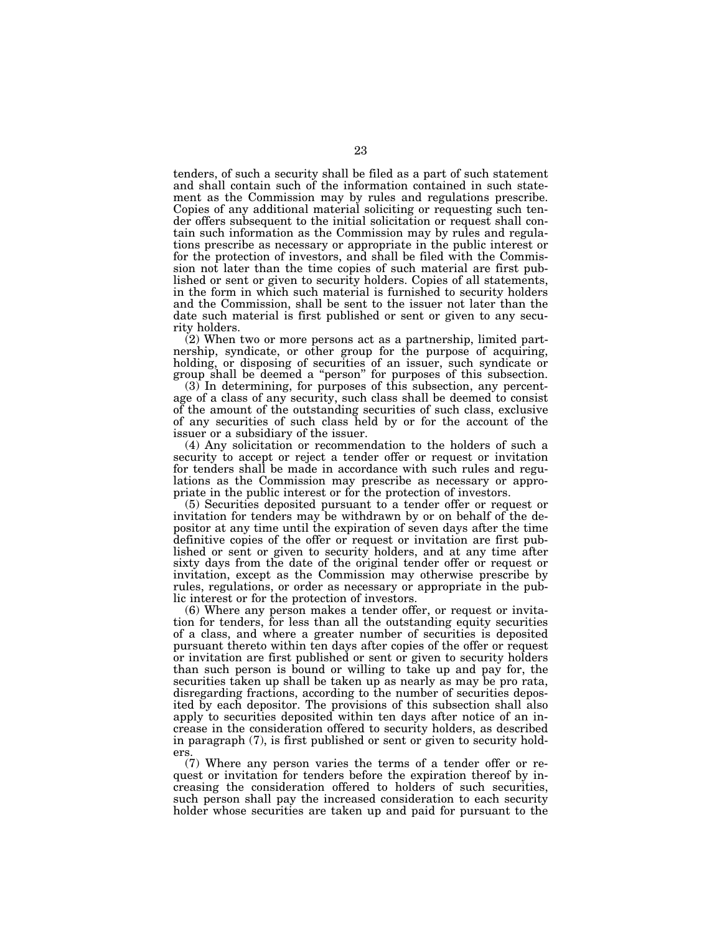tenders, of such a security shall be filed as a part of such statement and shall contain such of the information contained in such statement as the Commission may by rules and regulations prescribe. Copies of any additional material soliciting or requesting such tender offers subsequent to the initial solicitation or request shall contain such information as the Commission may by rules and regulations prescribe as necessary or appropriate in the public interest or for the protection of investors, and shall be filed with the Commission not later than the time copies of such material are first published or sent or given to security holders. Copies of all statements, in the form in which such material is furnished to security holders and the Commission, shall be sent to the issuer not later than the date such material is first published or sent or given to any security holders.

(2) When two or more persons act as a partnership, limited partnership, syndicate, or other group for the purpose of acquiring, holding, or disposing of securities of an issuer, such syndicate or group shall be deemed a ''person'' for purposes of this subsection.

(3) In determining, for purposes of this subsection, any percentage of a class of any security, such class shall be deemed to consist of the amount of the outstanding securities of such class, exclusive of any securities of such class held by or for the account of the issuer or a subsidiary of the issuer.

(4) Any solicitation or recommendation to the holders of such a security to accept or reject a tender offer or request or invitation for tenders shall be made in accordance with such rules and regulations as the Commission may prescribe as necessary or appropriate in the public interest or for the protection of investors.

(5) Securities deposited pursuant to a tender offer or request or invitation for tenders may be withdrawn by or on behalf of the depositor at any time until the expiration of seven days after the time definitive copies of the offer or request or invitation are first published or sent or given to security holders, and at any time after sixty days from the date of the original tender offer or request or invitation, except as the Commission may otherwise prescribe by rules, regulations, or order as necessary or appropriate in the public interest or for the protection of investors.

(6) Where any person makes a tender offer, or request or invitation for tenders, for less than all the outstanding equity securities of a class, and where a greater number of securities is deposited pursuant thereto within ten days after copies of the offer or request or invitation are first published or sent or given to security holders than such person is bound or willing to take up and pay for, the securities taken up shall be taken up as nearly as may be pro rata, disregarding fractions, according to the number of securities deposited by each depositor. The provisions of this subsection shall also apply to securities deposited within ten days after notice of an increase in the consideration offered to security holders, as described in paragraph (7), is first published or sent or given to security holders.

(7) Where any person varies the terms of a tender offer or request or invitation for tenders before the expiration thereof by increasing the consideration offered to holders of such securities, such person shall pay the increased consideration to each security holder whose securities are taken up and paid for pursuant to the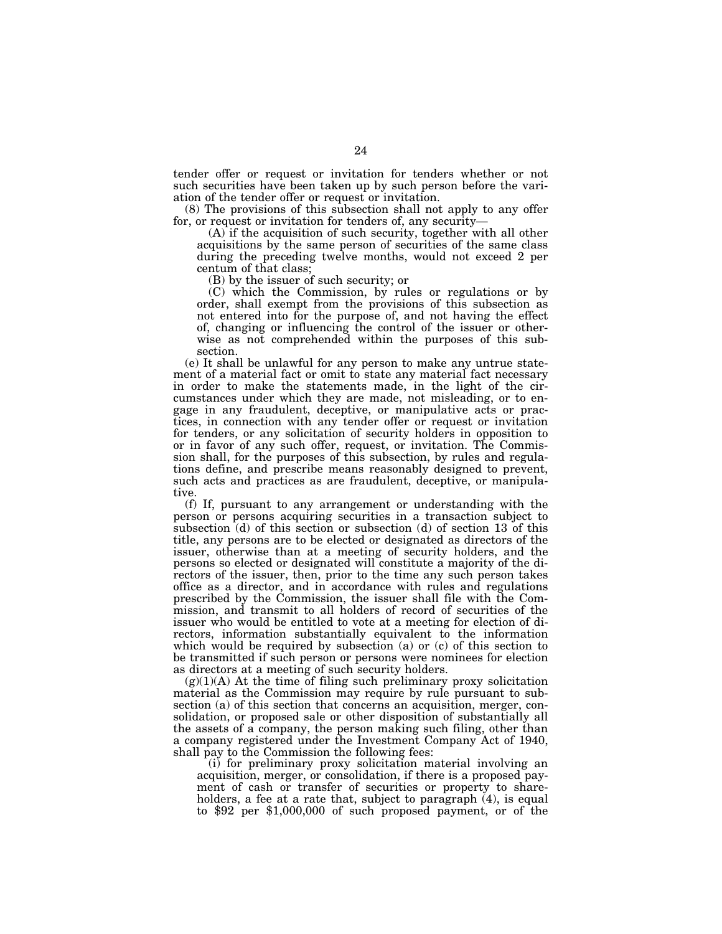tender offer or request or invitation for tenders whether or not such securities have been taken up by such person before the variation of the tender offer or request or invitation.

(8) The provisions of this subsection shall not apply to any offer for, or request or invitation for tenders of, any security—

(A) if the acquisition of such security, together with all other acquisitions by the same person of securities of the same class during the preceding twelve months, would not exceed 2 per centum of that class;

(B) by the issuer of such security; or

(C) which the Commission, by rules or regulations or by order, shall exempt from the provisions of this subsection as not entered into for the purpose of, and not having the effect of, changing or influencing the control of the issuer or otherwise as not comprehended within the purposes of this subsection.

(e) It shall be unlawful for any person to make any untrue statement of a material fact or omit to state any material fact necessary in order to make the statements made, in the light of the circumstances under which they are made, not misleading, or to engage in any fraudulent, deceptive, or manipulative acts or practices, in connection with any tender offer or request or invitation for tenders, or any solicitation of security holders in opposition to or in favor of any such offer, request, or invitation. The Commission shall, for the purposes of this subsection, by rules and regulations define, and prescribe means reasonably designed to prevent, such acts and practices as are fraudulent, deceptive, or manipulative.

(f) If, pursuant to any arrangement or understanding with the person or persons acquiring securities in a transaction subject to subsection (d) of this section or subsection (d) of section 13 of this title, any persons are to be elected or designated as directors of the issuer, otherwise than at a meeting of security holders, and the persons so elected or designated will constitute a majority of the directors of the issuer, then, prior to the time any such person takes office as a director, and in accordance with rules and regulations prescribed by the Commission, the issuer shall file with the Commission, and transmit to all holders of record of securities of the issuer who would be entitled to vote at a meeting for election of directors, information substantially equivalent to the information which would be required by subsection (a) or (c) of this section to be transmitted if such person or persons were nominees for election as directors at a meeting of such security holders.

 $(g)(1)(A)$  At the time of filing such preliminary proxy solicitation material as the Commission may require by rule pursuant to subsection (a) of this section that concerns an acquisition, merger, consolidation, or proposed sale or other disposition of substantially all the assets of a company, the person making such filing, other than a company registered under the Investment Company Act of 1940, shall pay to the Commission the following fees:

(i) for preliminary proxy solicitation material involving an acquisition, merger, or consolidation, if there is a proposed payment of cash or transfer of securities or property to shareholders, a fee at a rate that, subject to paragraph (4), is equal to \$92 per \$1,000,000 of such proposed payment, or of the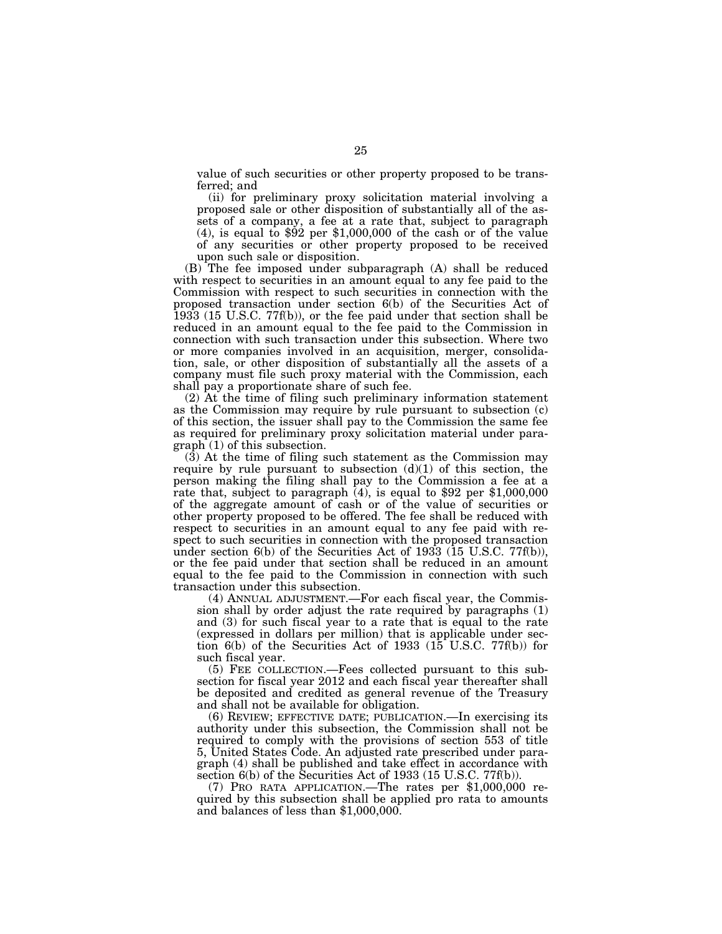value of such securities or other property proposed to be transferred; and

(ii) for preliminary proxy solicitation material involving a proposed sale or other disposition of substantially all of the assets of a company, a fee at a rate that, subject to paragraph (4), is equal to \$92 per \$1,000,000 of the cash or of the value of any securities or other property proposed to be received upon such sale or disposition.

(B) The fee imposed under subparagraph (A) shall be reduced with respect to securities in an amount equal to any fee paid to the Commission with respect to such securities in connection with the proposed transaction under section 6(b) of the Securities Act of 1933 (15 U.S.C. 77f(b)), or the fee paid under that section shall be reduced in an amount equal to the fee paid to the Commission in connection with such transaction under this subsection. Where two or more companies involved in an acquisition, merger, consolidation, sale, or other disposition of substantially all the assets of a company must file such proxy material with the Commission, each shall pay a proportionate share of such fee.

(2) At the time of filing such preliminary information statement as the Commission may require by rule pursuant to subsection (c) of this section, the issuer shall pay to the Commission the same fee as required for preliminary proxy solicitation material under para $graph(1)$  of this subsection.

(3) At the time of filing such statement as the Commission may require by rule pursuant to subsection  $(d)(1)$  of this section, the person making the filing shall pay to the Commission a fee at a rate that, subject to paragraph (4), is equal to \$92 per \$1,000,000 of the aggregate amount of cash or of the value of securities or other property proposed to be offered. The fee shall be reduced with respect to securities in an amount equal to any fee paid with respect to such securities in connection with the proposed transaction under section 6(b) of the Securities Act of 1933 (15 U.S.C. 77f(b)), or the fee paid under that section shall be reduced in an amount equal to the fee paid to the Commission in connection with such transaction under this subsection.

(4) ANNUAL ADJUSTMENT.—For each fiscal year, the Commission shall by order adjust the rate required by paragraphs (1) and (3) for such fiscal year to a rate that is equal to the rate (expressed in dollars per million) that is applicable under section  $6(b)$  of the Securities Act of 1933 (15 U.S.C. 77f(b)) for such fiscal year.

(5) FEE COLLECTION.—Fees collected pursuant to this subsection for fiscal year 2012 and each fiscal year thereafter shall be deposited and credited as general revenue of the Treasury and shall not be available for obligation.

(6) REVIEW; EFFECTIVE DATE; PUBLICATION.—In exercising its authority under this subsection, the Commission shall not be required to comply with the provisions of section 553 of title 5, United States Code. An adjusted rate prescribed under paragraph (4) shall be published and take effect in accordance with section 6(b) of the Securities Act of 1933 (15 U.S.C. 77f(b)).

(7) PRO RATA APPLICATION.—The rates per \$1,000,000 required by this subsection shall be applied pro rata to amounts and balances of less than \$1,000,000.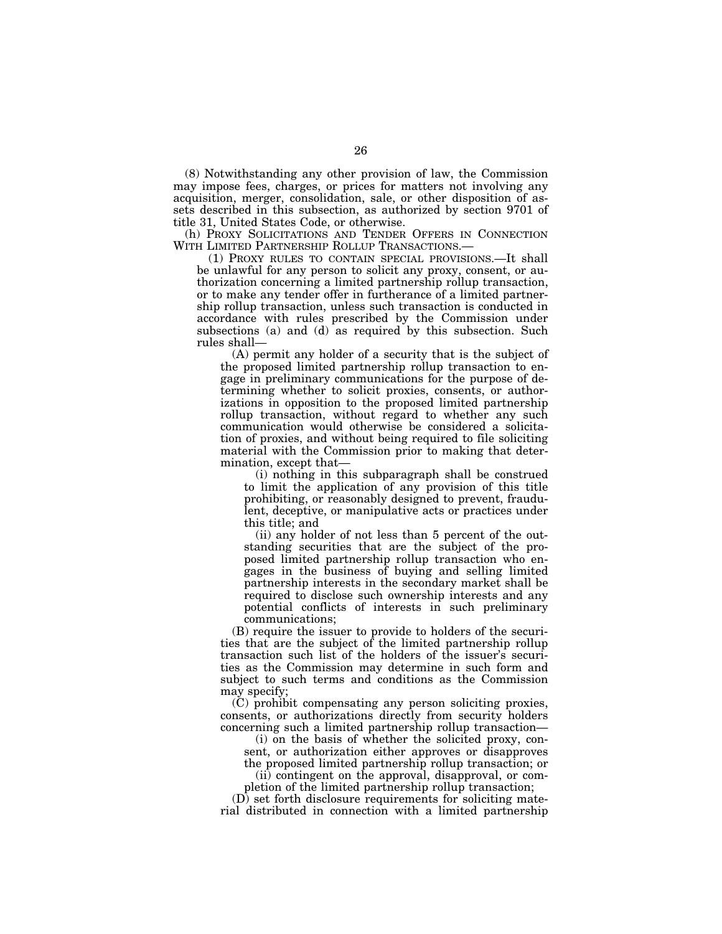(8) Notwithstanding any other provision of law, the Commission may impose fees, charges, or prices for matters not involving any acquisition, merger, consolidation, sale, or other disposition of assets described in this subsection, as authorized by section 9701 of title 31, United States Code, or otherwise.

(h) PROXY SOLICITATIONS AND TENDER OFFERS IN CONNECTION WITH LIMITED PARTNERSHIP ROLLUP TRANSACTIONS.

(1) PROXY RULES TO CONTAIN SPECIAL PROVISIONS.—It shall be unlawful for any person to solicit any proxy, consent, or authorization concerning a limited partnership rollup transaction, or to make any tender offer in furtherance of a limited partnership rollup transaction, unless such transaction is conducted in accordance with rules prescribed by the Commission under subsections (a) and (d) as required by this subsection. Such rules shall—

(A) permit any holder of a security that is the subject of the proposed limited partnership rollup transaction to engage in preliminary communications for the purpose of determining whether to solicit proxies, consents, or authorizations in opposition to the proposed limited partnership rollup transaction, without regard to whether any such communication would otherwise be considered a solicitation of proxies, and without being required to file soliciting material with the Commission prior to making that determination, except that—

(i) nothing in this subparagraph shall be construed to limit the application of any provision of this title prohibiting, or reasonably designed to prevent, fraudulent, deceptive, or manipulative acts or practices under this title; and

(ii) any holder of not less than 5 percent of the outstanding securities that are the subject of the proposed limited partnership rollup transaction who engages in the business of buying and selling limited partnership interests in the secondary market shall be required to disclose such ownership interests and any potential conflicts of interests in such preliminary communications;

(B) require the issuer to provide to holders of the securities that are the subject of the limited partnership rollup transaction such list of the holders of the issuer's securities as the Commission may determine in such form and subject to such terms and conditions as the Commission may specify;

(C) prohibit compensating any person soliciting proxies, consents, or authorizations directly from security holders concerning such a limited partnership rollup transaction—

(i) on the basis of whether the solicited proxy, consent, or authorization either approves or disapproves

the proposed limited partnership rollup transaction; or (ii) contingent on the approval, disapproval, or com-

pletion of the limited partnership rollup transaction;

(D) set forth disclosure requirements for soliciting material distributed in connection with a limited partnership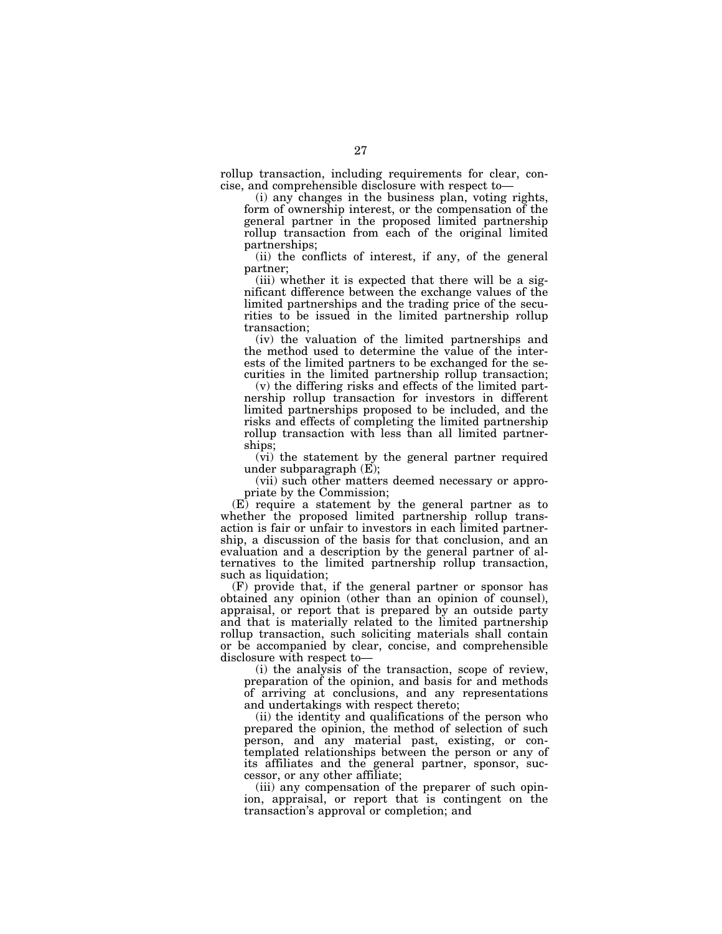rollup transaction, including requirements for clear, concise, and comprehensible disclosure with respect to—

(i) any changes in the business plan, voting rights, form of ownership interest, or the compensation of the general partner in the proposed limited partnership rollup transaction from each of the original limited partnerships;

(ii) the conflicts of interest, if any, of the general partner;

(iii) whether it is expected that there will be a significant difference between the exchange values of the limited partnerships and the trading price of the securities to be issued in the limited partnership rollup transaction;

(iv) the valuation of the limited partnerships and the method used to determine the value of the interests of the limited partners to be exchanged for the securities in the limited partnership rollup transaction;

(v) the differing risks and effects of the limited partnership rollup transaction for investors in different limited partnerships proposed to be included, and the risks and effects of completing the limited partnership rollup transaction with less than all limited partnerships;

(vi) the statement by the general partner required under subparagraph (E);

(vii) such other matters deemed necessary or appropriate by the Commission;

(E) require a statement by the general partner as to whether the proposed limited partnership rollup transaction is fair or unfair to investors in each limited partnership, a discussion of the basis for that conclusion, and an evaluation and a description by the general partner of alternatives to the limited partnership rollup transaction, such as liquidation;

(F) provide that, if the general partner or sponsor has obtained any opinion (other than an opinion of counsel), appraisal, or report that is prepared by an outside party and that is materially related to the limited partnership rollup transaction, such soliciting materials shall contain or be accompanied by clear, concise, and comprehensible disclosure with respect to—

(i) the analysis of the transaction, scope of review, preparation of the opinion, and basis for and methods of arriving at conclusions, and any representations and undertakings with respect thereto;

(ii) the identity and qualifications of the person who prepared the opinion, the method of selection of such person, and any material past, existing, or contemplated relationships between the person or any of its affiliates and the general partner, sponsor, successor, or any other affiliate;

(iii) any compensation of the preparer of such opinion, appraisal, or report that is contingent on the transaction's approval or completion; and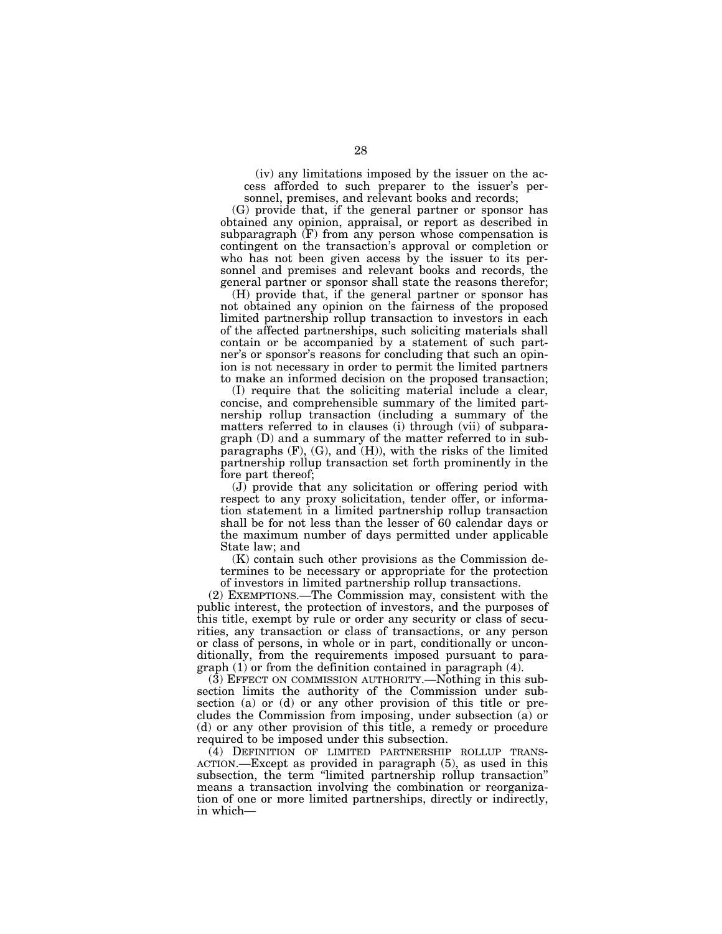(iv) any limitations imposed by the issuer on the access afforded to such preparer to the issuer's personnel, premises, and relevant books and records;

(G) provide that, if the general partner or sponsor has obtained any opinion, appraisal, or report as described in subparagraph  $(F)$  from any person whose compensation is contingent on the transaction's approval or completion or who has not been given access by the issuer to its personnel and premises and relevant books and records, the general partner or sponsor shall state the reasons therefor;

(H) provide that, if the general partner or sponsor has not obtained any opinion on the fairness of the proposed limited partnership rollup transaction to investors in each of the affected partnerships, such soliciting materials shall contain or be accompanied by a statement of such partner's or sponsor's reasons for concluding that such an opinion is not necessary in order to permit the limited partners to make an informed decision on the proposed transaction;

(I) require that the soliciting material include a clear, concise, and comprehensible summary of the limited partnership rollup transaction (including a summary of the matters referred to in clauses (i) through (vii) of subparagraph (D) and a summary of the matter referred to in subparagraphs  $(F)$ ,  $(G)$ , and  $(H)$ ), with the risks of the limited partnership rollup transaction set forth prominently in the fore part thereof;

(J) provide that any solicitation or offering period with respect to any proxy solicitation, tender offer, or information statement in a limited partnership rollup transaction shall be for not less than the lesser of 60 calendar days or the maximum number of days permitted under applicable State law; and

(K) contain such other provisions as the Commission determines to be necessary or appropriate for the protection of investors in limited partnership rollup transactions.

(2) EXEMPTIONS.—The Commission may, consistent with the public interest, the protection of investors, and the purposes of this title, exempt by rule or order any security or class of securities, any transaction or class of transactions, or any person or class of persons, in whole or in part, conditionally or unconditionally, from the requirements imposed pursuant to paragraph  $(1)$  or from the definition contained in paragraph  $(4)$ .

 $(3)$  EFFECT ON COMMISSION AUTHORITY.—Nothing in this subsection limits the authority of the Commission under subsection (a) or (d) or any other provision of this title or precludes the Commission from imposing, under subsection (a) or (d) or any other provision of this title, a remedy or procedure required to be imposed under this subsection.

(4) DEFINITION OF LIMITED PARTNERSHIP ROLLUP TRANS-ACTION.—Except as provided in paragraph (5), as used in this subsection, the term "limited partnership rollup transaction" means a transaction involving the combination or reorganization of one or more limited partnerships, directly or indirectly, in which—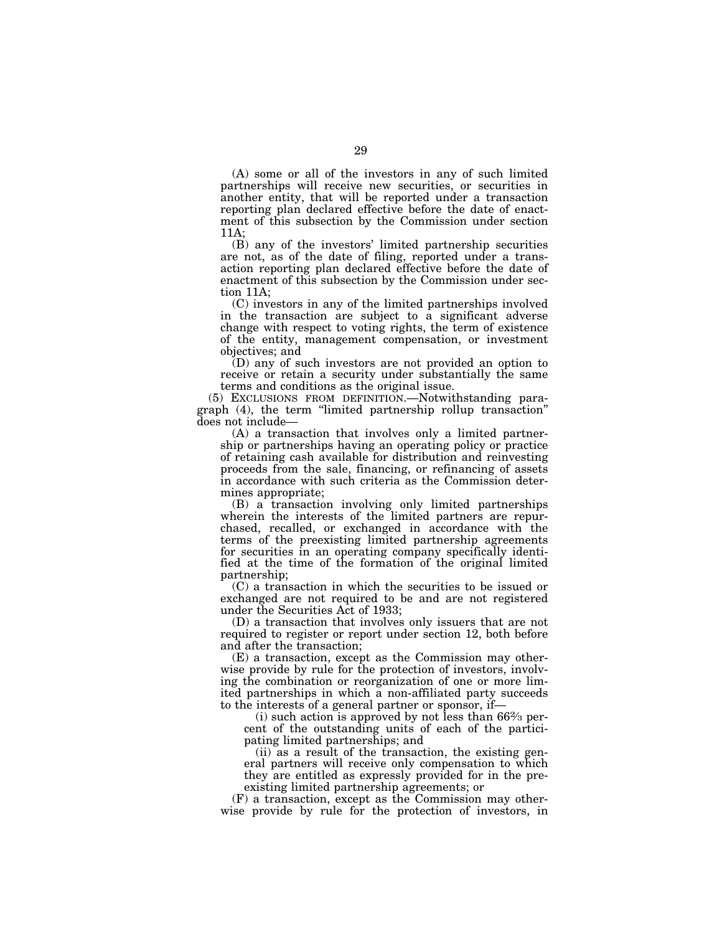(A) some or all of the investors in any of such limited partnerships will receive new securities, or securities in another entity, that will be reported under a transaction reporting plan declared effective before the date of enactment of this subsection by the Commission under section 11A;

(B) any of the investors' limited partnership securities are not, as of the date of filing, reported under a transaction reporting plan declared effective before the date of enactment of this subsection by the Commission under section 11A;

(C) investors in any of the limited partnerships involved in the transaction are subject to a significant adverse change with respect to voting rights, the term of existence of the entity, management compensation, or investment objectives; and

(D) any of such investors are not provided an option to receive or retain a security under substantially the same terms and conditions as the original issue.

(5) EXCLUSIONS FROM DEFINITION.—Notwithstanding paragraph (4), the term "limited partnership rollup transaction" does not include—

(A) a transaction that involves only a limited partnership or partnerships having an operating policy or practice of retaining cash available for distribution and reinvesting proceeds from the sale, financing, or refinancing of assets in accordance with such criteria as the Commission determines appropriate;

(B) a transaction involving only limited partnerships wherein the interests of the limited partners are repurchased, recalled, or exchanged in accordance with the terms of the preexisting limited partnership agreements for securities in an operating company specifically identified at the time of the formation of the original limited partnership;

(C) a transaction in which the securities to be issued or exchanged are not required to be and are not registered under the Securities Act of 1933;

(D) a transaction that involves only issuers that are not required to register or report under section 12, both before and after the transaction;

(E) a transaction, except as the Commission may otherwise provide by rule for the protection of investors, involving the combination or reorganization of one or more limited partnerships in which a non-affiliated party succeeds to the interests of a general partner or sponsor, if—

(i) such action is approved by not less than 662⁄3 percent of the outstanding units of each of the participating limited partnerships; and

(ii) as a result of the transaction, the existing general partners will receive only compensation to which they are entitled as expressly provided for in the preexisting limited partnership agreements; or

(F) a transaction, except as the Commission may otherwise provide by rule for the protection of investors, in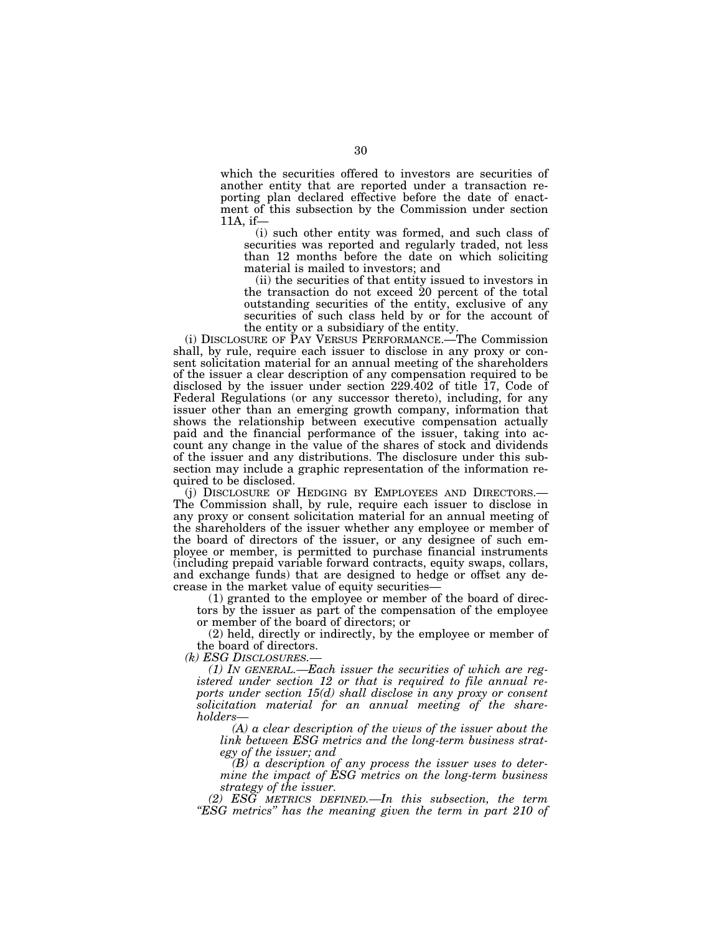which the securities offered to investors are securities of another entity that are reported under a transaction reporting plan declared effective before the date of enactment of this subsection by the Commission under section 11A, if—

(i) such other entity was formed, and such class of securities was reported and regularly traded, not less than 12 months before the date on which soliciting material is mailed to investors; and

(ii) the securities of that entity issued to investors in the transaction do not exceed 20 percent of the total outstanding securities of the entity, exclusive of any securities of such class held by or for the account of the entity or a subsidiary of the entity.

(i) DISCLOSURE OF PAY VERSUS PERFORMANCE.—The Commission shall, by rule, require each issuer to disclose in any proxy or consent solicitation material for an annual meeting of the shareholders of the issuer a clear description of any compensation required to be disclosed by the issuer under section 229.402 of title 17, Code of Federal Regulations (or any successor thereto), including, for any issuer other than an emerging growth company, information that shows the relationship between executive compensation actually paid and the financial performance of the issuer, taking into account any change in the value of the shares of stock and dividends of the issuer and any distributions. The disclosure under this subsection may include a graphic representation of the information re-

quired to be disclosed.<br>(i) DISCLOSURE OF HEDGING BY EMPLOYEES AND DIRECTORS.— The Commission shall, by rule, require each issuer to disclose in any proxy or consent solicitation material for an annual meeting of the shareholders of the issuer whether any employee or member of the board of directors of the issuer, or any designee of such employee or member, is permitted to purchase financial instruments (including prepaid variable forward contracts, equity swaps, collars, and exchange funds) that are designed to hedge or offset any decrease in the market value of equity securities—

(1) granted to the employee or member of the board of directors by the issuer as part of the compensation of the employee or member of the board of directors; or

(2) held, directly or indirectly, by the employee or member of the board of directors.

*(k) ESG DISCLOSURES.—* 

*(1) IN GENERAL.—Each issuer the securities of which are registered under section 12 or that is required to file annual reports under section 15(d) shall disclose in any proxy or consent solicitation material for an annual meeting of the shareholders—* 

*(A) a clear description of the views of the issuer about the link between ESG metrics and the long-term business strategy of the issuer; and* 

*(B) a description of any process the issuer uses to determine the impact of ESG metrics on the long-term business strategy of the issuer.* 

*(2) ESG METRICS DEFINED.—In this subsection, the term ''ESG metrics'' has the meaning given the term in part 210 of*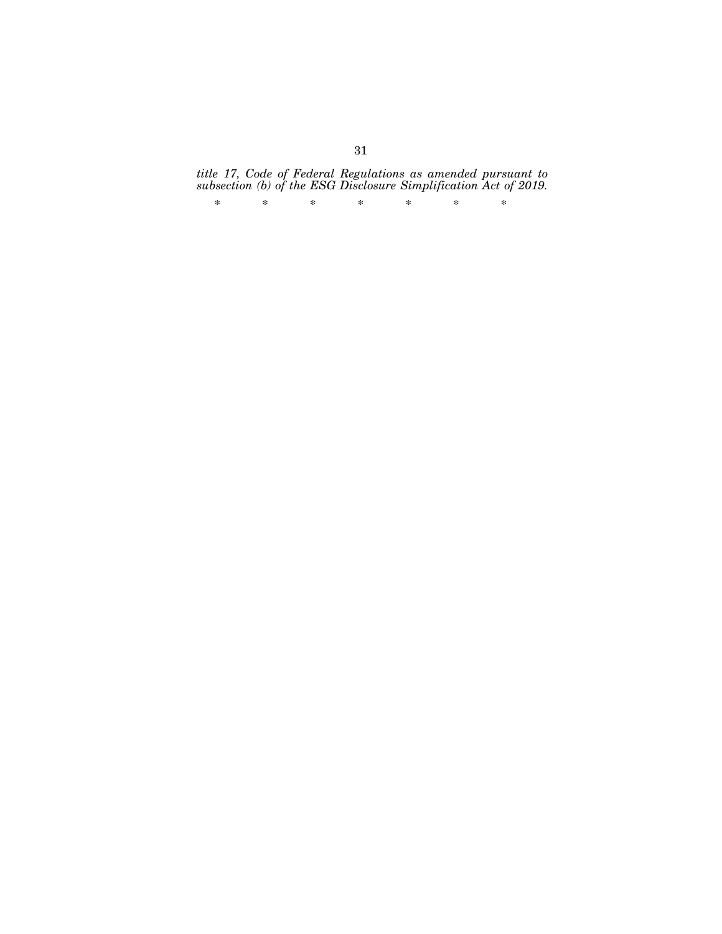*title 17, Code of Federal Regulations as amended pursuant to subsection (b) of the ESG Disclosure Simplification Act of 2019.* 

\* \* \* \* \* \* \*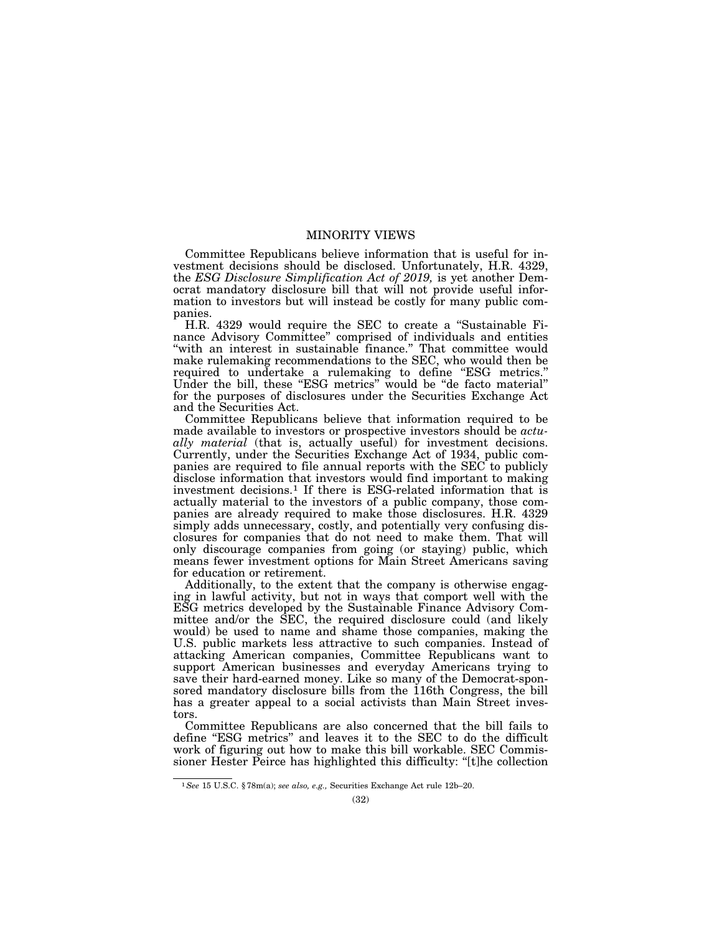# MINORITY VIEWS

Committee Republicans believe information that is useful for investment decisions should be disclosed. Unfortunately, H.R. 4329, the *ESG Disclosure Simplification Act of 2019,* is yet another Democrat mandatory disclosure bill that will not provide useful information to investors but will instead be costly for many public companies.

H.R. 4329 would require the SEC to create a ''Sustainable Finance Advisory Committee'' comprised of individuals and entities ''with an interest in sustainable finance.'' That committee would make rulemaking recommendations to the SEC, who would then be required to undertake a rulemaking to define ''ESG metrics.'' Under the bill, these "ESG metrics" would be "de facto material" for the purposes of disclosures under the Securities Exchange Act and the Securities Act.

Committee Republicans believe that information required to be made available to investors or prospective investors should be *actually material* (that is, actually useful) for investment decisions. Currently, under the Securities Exchange Act of 1934, public companies are required to file annual reports with the SEC to publicly disclose information that investors would find important to making investment decisions.1 If there is ESG-related information that is actually material to the investors of a public company, those companies are already required to make those disclosures. H.R. 4329 simply adds unnecessary, costly, and potentially very confusing disclosures for companies that do not need to make them. That will only discourage companies from going (or staying) public, which means fewer investment options for Main Street Americans saving for education or retirement.

Additionally, to the extent that the company is otherwise engaging in lawful activity, but not in ways that comport well with the ESG metrics developed by the Sustainable Finance Advisory Committee and/or the SEC, the required disclosure could (and likely would) be used to name and shame those companies, making the U.S. public markets less attractive to such companies. Instead of attacking American companies, Committee Republicans want to support American businesses and everyday Americans trying to save their hard-earned money. Like so many of the Democrat-sponsored mandatory disclosure bills from the 116th Congress, the bill has a greater appeal to a social activists than Main Street investors.

Committee Republicans are also concerned that the bill fails to define ''ESG metrics'' and leaves it to the SEC to do the difficult work of figuring out how to make this bill workable. SEC Commissioner Hester Peirce has highlighted this difficulty: ''[t]he collection

<sup>1</sup>*See* 15 U.S.C. § 78m(a); *see also, e.g.,* Securities Exchange Act rule 12b–20.